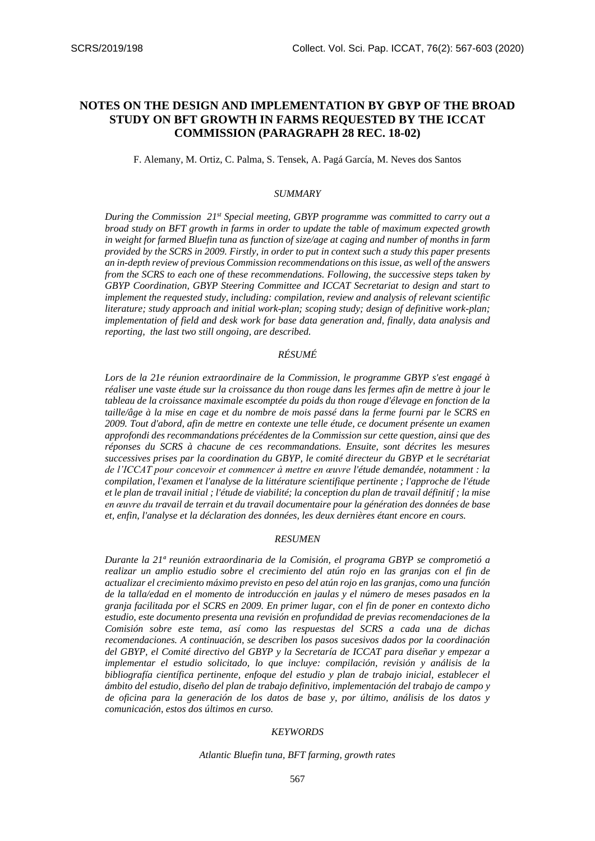# **NOTES ON THE DESIGN AND IMPLEMENTATION BY GBYP OF THE BROAD STUDY ON BFT GROWTH IN FARMS REQUESTED BY THE ICCAT COMMISSION (PARAGRAPH 28 REC. 18-02)**

F. Alemany, M. Ortiz, C. Palma, S. Tensek, A. Pagá García, M. Neves dos Santos

#### *SUMMARY*

*During the Commission 21st Special meeting, GBYP programme was committed to carry out a broad study on BFT growth in farms in order to update the table of maximum expected growth in weight for farmed Bluefin tuna as function of size/age at caging and number of months in farm provided by the SCRS in 2009. Firstly, in order to put in context such a study this paper presents an in-depth review of previous Commission recommendations on this issue, as well of the answers from the SCRS to each one of these recommendations. Following, the successive steps taken by GBYP Coordination, GBYP Steering Committee and ICCAT Secretariat to design and start to implement the requested study, including: compilation, review and analysis of relevant scientific literature; study approach and initial work-plan; scoping study; design of definitive work-plan; implementation of field and desk work for base data generation and, finally, data analysis and reporting, the last two still ongoing, are described.*

# *RÉSUMÉ*

*Lors de la 21e réunion extraordinaire de la Commission, le programme GBYP s'est engagé à réaliser une vaste étude sur la croissance du thon rouge dans les fermes afin de mettre à jour le tableau de la croissance maximale escomptée du poids du thon rouge d'élevage en fonction de la taille/âge à la mise en cage et du nombre de mois passé dans la ferme fourni par le SCRS en 2009. Tout d'abord, afin de mettre en contexte une telle étude, ce document présente un examen approfondi des recommandations précédentes de la Commission sur cette question, ainsi que des réponses du SCRS à chacune de ces recommandations. Ensuite, sont décrites les mesures successives prises par la coordination du GBYP, le comité directeur du GBYP et le secrétariat de l'ICCAT pour concevoir et commencer à mettre en œuvre l'étude demandée, notamment : la compilation, l'examen et l'analyse de la littérature scientifique pertinente ; l'approche de l'étude et le plan de travail initial ; l'étude de viabilité; la conception du plan de travail définitif ; la mise en œuvre du travail de terrain et du travail documentaire pour la génération des données de base et, enfin, l'analyse et la déclaration des données, les deux dernières étant encore en cours.*

#### *RESUMEN*

*Durante la 21ª reunión extraordinaria de la Comisión, el programa GBYP se comprometió a realizar un amplio estudio sobre el crecimiento del atún rojo en las granjas con el fin de actualizar el crecimiento máximo previsto en peso del atún rojo en las granjas, como una función de la talla/edad en el momento de introducción en jaulas y el número de meses pasados en la granja facilitada por el SCRS en 2009. En primer lugar, con el fin de poner en contexto dicho estudio, este documento presenta una revisión en profundidad de previas recomendaciones de la Comisión sobre este tema, así como las respuestas del SCRS a cada una de dichas recomendaciones. A continuación, se describen los pasos sucesivos dados por la coordinación del GBYP, el Comité directivo del GBYP y la Secretaría de ICCAT para diseñar y empezar a implementar el estudio solicitado, lo que incluye: compilación, revisión y análisis de la bibliografía científica pertinente, enfoque del estudio y plan de trabajo inicial, establecer el ámbito del estudio, diseño del plan de trabajo definitivo, implementación del trabajo de campo y de oficina para la generación de los datos de base y, por último, análisis de los datos y comunicación, estos dos últimos en curso.*

#### *KEYWORDS*

*Atlantic Bluefin tuna, BFT farming, growth rates*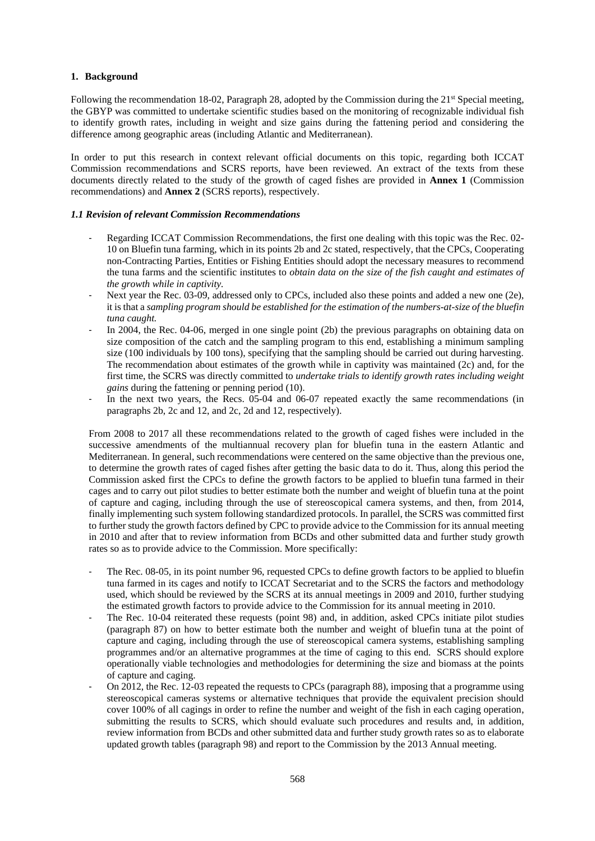### **1. Background**

Following the recommendation 18-02, Paragraph 28, adopted by the Commission during the 21st Special meeting, the GBYP was committed to undertake scientific studies based on the monitoring of recognizable individual fish to identify growth rates, including in weight and size gains during the fattening period and considering the difference among geographic areas (including Atlantic and Mediterranean).

In order to put this research in context relevant official documents on this topic, regarding both ICCAT Commission recommendations and SCRS reports, have been reviewed. An extract of the texts from these documents directly related to the study of the growth of caged fishes are provided in **Annex 1** (Commission recommendations) and **Annex 2** (SCRS reports), respectively.

### *1.1 Revision of relevant Commission Recommendations*

- Regarding ICCAT Commission Recommendations, the first one dealing with this topic was the Rec. 02-10 on Bluefin tuna farming, which in its points 2b and 2c stated, respectively, that the CPCs, Cooperating non-Contracting Parties, Entities or Fishing Entities should adopt the necessary measures to recommend the tuna farms and the scientific institutes to *obtain data on the size of the fish caught and estimates of the growth while in captivity.*
- Next year the Rec. 03-09, addressed only to CPCs, included also these points and added a new one (2e), it is that a *sampling program should be established for the estimation of the numbers-at-size of the bluefin tuna caught.*
- In 2004, the Rec. 04-06, merged in one single point (2b) the previous paragraphs on obtaining data on size composition of the catch and the sampling program to this end, establishing a minimum sampling size (100 individuals by 100 tons), specifying that the sampling should be carried out during harvesting. The recommendation about estimates of the growth while in captivity was maintained (2c) and, for the first time, the SCRS was directly committed to *undertake trials to identify growth rates including weight gains* during the fattening or penning period (10).
- In the next two years, the Recs. 05-04 and 06-07 repeated exactly the same recommendations (in paragraphs 2b, 2c and 12, and 2c, 2d and 12, respectively).

From 2008 to 2017 all these recommendations related to the growth of caged fishes were included in the successive amendments of the multiannual recovery plan for bluefin tuna in the eastern Atlantic and Mediterranean. In general, such recommendations were centered on the same objective than the previous one, to determine the growth rates of caged fishes after getting the basic data to do it. Thus, along this period the Commission asked first the CPCs to define the growth factors to be applied to bluefin tuna farmed in their cages and to carry out pilot studies to better estimate both the number and weight of bluefin tuna at the point of capture and caging, including through the use of stereoscopical camera systems, and then, from 2014, finally implementing such system following standardized protocols. In parallel, the SCRS was committed first to further study the growth factors defined by CPC to provide advice to the Commission for its annual meeting in 2010 and after that to review information from BCDs and other submitted data and further study growth rates so as to provide advice to the Commission. More specifically:

- The Rec. 08-05, in its point number 96, requested CPCs to define growth factors to be applied to bluefin tuna farmed in its cages and notify to ICCAT Secretariat and to the SCRS the factors and methodology used, which should be reviewed by the SCRS at its annual meetings in 2009 and 2010, further studying the estimated growth factors to provide advice to the Commission for its annual meeting in 2010.
- The Rec. 10-04 reiterated these requests (point 98) and, in addition, asked CPCs initiate pilot studies (paragraph 87) on how to better estimate both the number and weight of bluefin tuna at the point of capture and caging, including through the use of stereoscopical camera systems, establishing sampling programmes and/or an alternative programmes at the time of caging to this end. SCRS should explore operationally viable technologies and methodologies for determining the size and biomass at the points of capture and caging.
- On 2012, the Rec. 12-03 repeated the requests to CPCs (paragraph 88), imposing that a programme using stereoscopical cameras systems or alternative techniques that provide the equivalent precision should cover 100% of all cagings in order to refine the number and weight of the fish in each caging operation, submitting the results to SCRS, which should evaluate such procedures and results and, in addition, review information from BCDs and other submitted data and further study growth rates so as to elaborate updated growth tables (paragraph 98) and report to the Commission by the 2013 Annual meeting.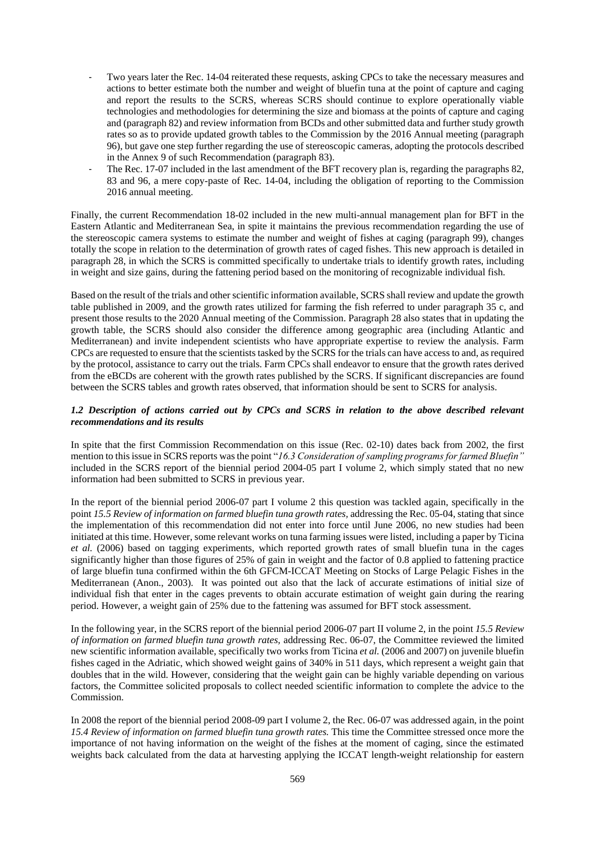- Two years later the Rec. 14-04 reiterated these requests, asking CPCs to take the necessary measures and actions to better estimate both the number and weight of bluefin tuna at the point of capture and caging and report the results to the SCRS, whereas SCRS should continue to explore operationally viable technologies and methodologies for determining the size and biomass at the points of capture and caging and (paragraph 82) and review information from BCDs and other submitted data and further study growth rates so as to provide updated growth tables to the Commission by the 2016 Annual meeting (paragraph 96), but gave one step further regarding the use of stereoscopic cameras, adopting the protocols described in the Annex 9 of such Recommendation (paragraph 83).
- The Rec. 17-07 included in the last amendment of the BFT recovery plan is, regarding the paragraphs 82, 83 and 96, a mere copy-paste of Rec. 14-04, including the obligation of reporting to the Commission 2016 annual meeting.

Finally, the current Recommendation 18-02 included in the new multi-annual management plan for BFT in the Eastern Atlantic and Mediterranean Sea, in spite it maintains the previous recommendation regarding the use of the stereoscopic camera systems to estimate the number and weight of fishes at caging (paragraph 99), changes totally the scope in relation to the determination of growth rates of caged fishes. This new approach is detailed in paragraph 28, in which the SCRS is committed specifically to undertake trials to identify growth rates, including in weight and size gains, during the fattening period based on the monitoring of recognizable individual fish.

Based on the result of the trials and other scientific information available, SCRS shall review and update the growth table published in 2009, and the growth rates utilized for farming the fish referred to under paragraph 35 c, and present those results to the 2020 Annual meeting of the Commission. Paragraph 28 also states that in updating the growth table, the SCRS should also consider the difference among geographic area (including Atlantic and Mediterranean) and invite independent scientists who have appropriate expertise to review the analysis. Farm CPCs are requested to ensure that the scientists tasked by the SCRS for the trials can have access to and, as required by the protocol, assistance to carry out the trials. Farm CPCs shall endeavor to ensure that the growth rates derived from the eBCDs are coherent with the growth rates published by the SCRS. If significant discrepancies are found between the SCRS tables and growth rates observed, that information should be sent to SCRS for analysis.

# *1.2 Description of actions carried out by CPCs and SCRS in relation to the above described relevant recommendations and its results*

In spite that the first Commission Recommendation on this issue (Rec. 02-10) dates back from 2002, the first mention to this issue in SCRS reports was the point "*16.3 Consideration of sampling programs for farmed Bluefin"* included in the SCRS report of the biennial period 2004-05 part I volume 2, which simply stated that no new information had been submitted to SCRS in previous year.

In the report of the biennial period 2006-07 part I volume 2 this question was tackled again, specifically in the point *15.5 Review of information on farmed bluefin tuna growth rates,* addressing the Rec. 05-04, stating that since the implementation of this recommendation did not enter into force until June 2006, no new studies had been initiated at this time. However, some relevant works on tuna farming issues were listed, including a paper by Ticina *et al.* (2006) based on tagging experiments, which reported growth rates of small bluefin tuna in the cages significantly higher than those figures of 25% of gain in weight and the factor of 0.8 applied to fattening practice of large bluefin tuna confirmed within the 6th GFCM-ICCAT Meeting on Stocks of Large Pelagic Fishes in the Mediterranean (Anon., 2003). It was pointed out also that the lack of accurate estimations of initial size of individual fish that enter in the cages prevents to obtain accurate estimation of weight gain during the rearing period. However, a weight gain of 25% due to the fattening was assumed for BFT stock assessment.

In the following year, in the SCRS report of the biennial period 2006-07 part II volume 2, in the point *15.5 Review of information on farmed bluefin tuna growth rates,* addressing Rec. 06-07, the Committee reviewed the limited new scientific information available, specifically two works from Ticina *et al.* (2006 and 2007) on juvenile bluefin fishes caged in the Adriatic, which showed weight gains of 340% in 511 days, which represent a weight gain that doubles that in the wild. However, considering that the weight gain can be highly variable depending on various factors, the Committee solicited proposals to collect needed scientific information to complete the advice to the Commission.

In 2008 the report of the biennial period 2008-09 part I volume 2, the Rec. 06-07 was addressed again, in the point *15.4 Review of information on farmed bluefin tuna growth rates.* This time the Committee stressed once more the importance of not having information on the weight of the fishes at the moment of caging, since the estimated weights back calculated from the data at harvesting applying the ICCAT length-weight relationship for eastern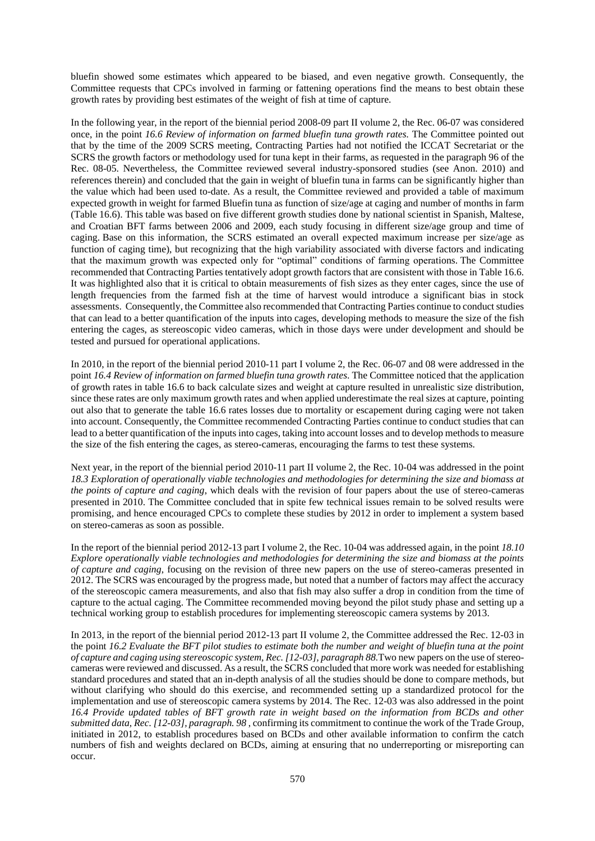bluefin showed some estimates which appeared to be biased, and even negative growth. Consequently, the Committee requests that CPCs involved in farming or fattening operations find the means to best obtain these growth rates by providing best estimates of the weight of fish at time of capture.

In the following year, in the report of the biennial period 2008-09 part II volume 2, the Rec. 06-07 was considered once, in the point *16.6 Review of information on farmed bluefin tuna growth rates.* The Committee pointed out that by the time of the 2009 SCRS meeting, Contracting Parties had not notified the ICCAT Secretariat or the SCRS the growth factors or methodology used for tuna kept in their farms, as requested in the paragraph 96 of the Rec. 08-05. Nevertheless, the Committee reviewed several industry-sponsored studies (see Anon. 2010) and references therein) and concluded that the gain in weight of bluefin tuna in farms can be significantly higher than the value which had been used to-date. As a result, the Committee reviewed and provided a table of maximum expected growth in weight for farmed Bluefin tuna as function of size/age at caging and number of months in farm (Table 16.6). This table was based on five different growth studies done by national scientist in Spanish, Maltese, and Croatian BFT farms between 2006 and 2009, each study focusing in different size/age group and time of caging. Base on this information, the SCRS estimated an overall expected maximum increase per size/age as function of caging time), but recognizing that the high variability associated with diverse factors and indicating that the maximum growth was expected only for "optimal" conditions of farming operations. The Committee recommended that Contracting Parties tentatively adopt growth factors that are consistent with those in Table 16.6. It was highlighted also that it is critical to obtain measurements of fish sizes as they enter cages, since the use of length frequencies from the farmed fish at the time of harvest would introduce a significant bias in stock assessments. Consequently, the Committee also recommended that Contracting Parties continue to conduct studies that can lead to a better quantification of the inputs into cages, developing methods to measure the size of the fish entering the cages, as stereoscopic video cameras, which in those days were under development and should be tested and pursued for operational applications.

In 2010, in the report of the biennial period 2010-11 part I volume 2, the Rec. 06-07 and 08 were addressed in the point *16.4 Review of information on farmed bluefin tuna growth rates*. The Committee noticed that the application of growth rates in table 16.6 to back calculate sizes and weight at capture resulted in unrealistic size distribution, since these rates are only maximum growth rates and when applied underestimate the real sizes at capture, pointing out also that to generate the table 16.6 rates losses due to mortality or escapement during caging were not taken into account. Consequently, the Committee recommended Contracting Parties continue to conduct studies that can lead to a better quantification of the inputs into cages, taking into account losses and to develop methods to measure the size of the fish entering the cages, as stereo-cameras, encouraging the farms to test these systems.

Next year, in the report of the biennial period 2010-11 part II volume 2, the Rec. 10-04 was addressed in the point *18.3 Exploration of operationally viable technologies and methodologies for determining the size and biomass at the points of capture and caging*, which deals with the revision of four papers about the use of stereo-cameras presented in 2010. The Committee concluded that in spite few technical issues remain to be solved results were promising, and hence encouraged CPCs to complete these studies by 2012 in order to implement a system based on stereo-cameras as soon as possible.

In the report of the biennial period 2012-13 part I volume 2, the Rec. 10-04 was addressed again, in the point *18.10 Explore operationally viable technologies and methodologies for determining the size and biomass at the points of capture and caging*, focusing on the revision of three new papers on the use of stereo-cameras presented in 2012. The SCRS was encouraged by the progress made, but noted that a number of factors may affect the accuracy of the stereoscopic camera measurements, and also that fish may also suffer a drop in condition from the time of capture to the actual caging. The Committee recommended moving beyond the pilot study phase and setting up a technical working group to establish procedures for implementing stereoscopic camera systems by 2013.

In 2013, in the report of the biennial period 2012-13 part II volume 2, the Committee addressed the Rec. 12-03 in the point *16.2 Evaluate the BFT pilot studies to estimate both the number and weight of bluefin tuna at the point of capture and caging using stereoscopic system, Rec. [12-03], paragraph 88.*Two new papers on the use of stereocameras were reviewed and discussed. As a result, the SCRS concluded that more work was needed for establishing standard procedures and stated that an in-depth analysis of all the studies should be done to compare methods, but without clarifying who should do this exercise, and recommended setting up a standardized protocol for the implementation and use of stereoscopic camera systems by 2014. The Rec. 12-03 was also addressed in the point *16.4 Provide updated tables of BFT growth rate in weight based on the information from BCDs and other submitted data, Rec. [12-03], paragraph. 98* , confirming its commitment to continue the work of the Trade Group, initiated in 2012, to establish procedures based on BCDs and other available information to confirm the catch numbers of fish and weights declared on BCDs, aiming at ensuring that no underreporting or misreporting can occur.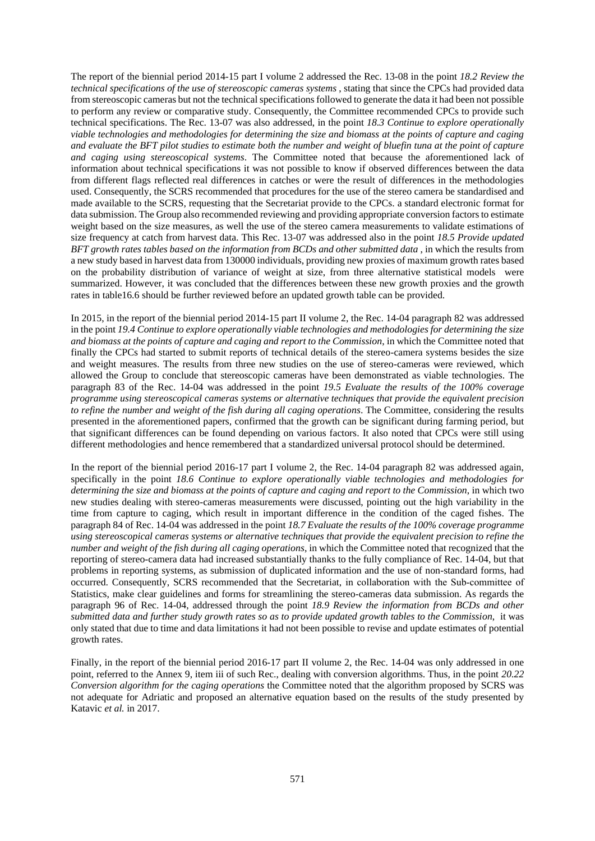The report of the biennial period 2014-15 part I volume 2 addressed the Rec. 13-08 in the point *18.2 Review the technical specifications of the use of stereoscopic cameras systems* , stating that since the CPCs had provided data from stereoscopic cameras but not the technical specifications followed to generate the data it had been not possible to perform any review or comparative study. Consequently, the Committee recommended CPCs to provide such technical specifications. The Rec. 13-07 was also addressed, in the point *18.3 Continue to explore operationally viable technologies and methodologies for determining the size and biomass at the points of capture and caging and evaluate the BFT pilot studies to estimate both the number and weight of bluefin tuna at the point of capture and caging using stereoscopical systems*. The Committee noted that because the aforementioned lack of information about technical specifications it was not possible to know if observed differences between the data from different flags reflected real differences in catches or were the result of differences in the methodologies used. Consequently, the SCRS recommended that procedures for the use of the stereo camera be standardised and made available to the SCRS, requesting that the Secretariat provide to the CPCs. a standard electronic format for data submission. The Group also recommended reviewing and providing appropriate conversion factors to estimate weight based on the size measures, as well the use of the stereo camera measurements to validate estimations of size frequency at catch from harvest data. This Rec. 13-07 was addressed also in the point *18.5 Provide updated BFT growth rates tables based on the information from BCDs and other submitted data* , in which the results from a new study based in harvest data from 130000 individuals, providing new proxies of maximum growth rates based on the probability distribution of variance of weight at size, from three alternative statistical models were summarized. However, it was concluded that the differences between these new growth proxies and the growth rates in table16.6 should be further reviewed before an updated growth table can be provided.

In 2015, in the report of the biennial period 2014-15 part II volume 2, the Rec. 14-04 paragraph 82 was addressed in the point *19.4 Continue to explore operationally viable technologies and methodologies for determining the size and biomass at the points of capture and caging and report to the Commission*, in which the Committee noted that finally the CPCs had started to submit reports of technical details of the stereo-camera systems besides the size and weight measures. The results from three new studies on the use of stereo-cameras were reviewed, which allowed the Group to conclude that stereoscopic cameras have been demonstrated as viable technologies. The paragraph 83 of the Rec. 14-04 was addressed in the point *19.5 Evaluate the results of the 100% coverage programme using stereoscopical cameras systems or alternative techniques that provide the equivalent precision to refine the number and weight of the fish during all caging operations*. The Committee, considering the results presented in the aforementioned papers, confirmed that the growth can be significant during farming period, but that significant differences can be found depending on various factors. It also noted that CPCs were still using different methodologies and hence remembered that a standardized universal protocol should be determined.

In the report of the biennial period 2016-17 part I volume 2, the Rec. 14-04 paragraph 82 was addressed again, specifically in the point *18.6 Continue to explore operationally viable technologies and methodologies for determining the size and biomass at the points of capture and caging and report to the Commission*, in which two new studies dealing with stereo-cameras measurements were discussed, pointing out the high variability in the time from capture to caging, which result in important difference in the condition of the caged fishes. The paragraph 84 of Rec. 14-04 was addressed in the point *18.7 Evaluate the results of the 100% coverage programme using stereoscopical cameras systems or alternative techniques that provide the equivalent precision to refine the number and weight of the fish during all caging operations*, in which the Committee noted that recognized that the reporting of stereo-camera data had increased substantially thanks to the fully compliance of Rec. 14-04, but that problems in reporting systems, as submission of duplicated information and the use of non-standard forms, had occurred. Consequently, SCRS recommended that the Secretariat, in collaboration with the Sub-committee of Statistics, make clear guidelines and forms for streamlining the stereo-cameras data submission. As regards the paragraph 96 of Rec. 14-04, addressed through the point *18.9 Review the information from BCDs and other submitted data and further study growth rates so as to provide updated growth tables to the Commission*, it was only stated that due to time and data limitations it had not been possible to revise and update estimates of potential growth rates.

Finally, in the report of the biennial period 2016-17 part II volume 2, the Rec. 14-04 was only addressed in one point, referred to the Annex 9, item iii of such Rec., dealing with conversion algorithms. Thus, in the point *20.22 Conversion algorithm for the caging operations* the Committee noted that the algorithm proposed by SCRS was not adequate for Adriatic and proposed an alternative equation based on the results of the study presented by Katavic *et al.* in 2017.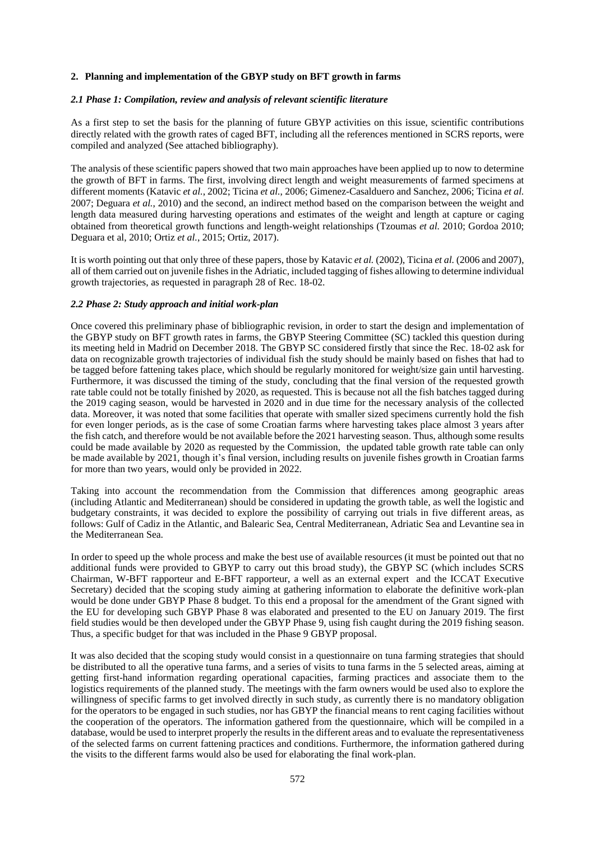# **2. Planning and implementation of the GBYP study on BFT growth in farms**

### *2.1 Phase 1: Compilation, review and analysis of relevant scientific literature*

As a first step to set the basis for the planning of future GBYP activities on this issue, scientific contributions directly related with the growth rates of caged BFT, including all the references mentioned in SCRS reports, were compiled and analyzed (See attached bibliography).

The analysis of these scientific papers showed that two main approaches have been applied up to now to determine the growth of BFT in farms. The first, involving direct length and weight measurements of farmed specimens at different moments (Katavic *et al.*, 2002; Ticina *et al.*, 2006; Gimenez-Casalduero and Sanchez, 2006; Ticina *et al.* 2007; Deguara *et al.*, 2010) and the second, an indirect method based on the comparison between the weight and length data measured during harvesting operations and estimates of the weight and length at capture or caging obtained from theoretical growth functions and length-weight relationships (Tzoumas *et al.* 2010; Gordoa 2010; Deguara et al, 2010; Ortiz *et al.*, 2015; Ortiz, 2017).

It is worth pointing out that only three of these papers, those by Katavic *et al.* (2002), Ticina *et al.* (2006 and 2007), all of them carried out on juvenile fishes in the Adriatic, included tagging of fishes allowing to determine individual growth trajectories, as requested in paragraph 28 of Rec. 18-02.

### *2.2 Phase 2: Study approach and initial work-plan*

Once covered this preliminary phase of bibliographic revision, in order to start the design and implementation of the GBYP study on BFT growth rates in farms, the GBYP Steering Committee (SC) tackled this question during its meeting held in Madrid on December 2018. The GBYP SC considered firstly that since the Rec. 18-02 ask for data on recognizable growth trajectories of individual fish the study should be mainly based on fishes that had to be tagged before fattening takes place, which should be regularly monitored for weight/size gain until harvesting. Furthermore, it was discussed the timing of the study, concluding that the final version of the requested growth rate table could not be totally finished by 2020, as requested. This is because not all the fish batches tagged during the 2019 caging season, would be harvested in 2020 and in due time for the necessary analysis of the collected data. Moreover, it was noted that some facilities that operate with smaller sized specimens currently hold the fish for even longer periods, as is the case of some Croatian farms where harvesting takes place almost 3 years after the fish catch, and therefore would be not available before the 2021 harvesting season. Thus, although some results could be made available by 2020 as requested by the Commission, the updated table growth rate table can only be made available by 2021, though it's final version, including results on juvenile fishes growth in Croatian farms for more than two years, would only be provided in 2022.

Taking into account the recommendation from the Commission that differences among geographic areas (including Atlantic and Mediterranean) should be considered in updating the growth table, as well the logistic and budgetary constraints, it was decided to explore the possibility of carrying out trials in five different areas, as follows: Gulf of Cadiz in the Atlantic, and Balearic Sea, Central Mediterranean, Adriatic Sea and Levantine sea in the Mediterranean Sea.

In order to speed up the whole process and make the best use of available resources (it must be pointed out that no additional funds were provided to GBYP to carry out this broad study), the GBYP SC (which includes SCRS Chairman, W-BFT rapporteur and E-BFT rapporteur, a well as an external expert and the ICCAT Executive Secretary) decided that the scoping study aiming at gathering information to elaborate the definitive work-plan would be done under GBYP Phase 8 budget. To this end a proposal for the amendment of the Grant signed with the EU for developing such GBYP Phase 8 was elaborated and presented to the EU on January 2019. The first field studies would be then developed under the GBYP Phase 9, using fish caught during the 2019 fishing season. Thus, a specific budget for that was included in the Phase 9 GBYP proposal.

It was also decided that the scoping study would consist in a questionnaire on tuna farming strategies that should be distributed to all the operative tuna farms, and a series of visits to tuna farms in the 5 selected areas, aiming at getting first-hand information regarding operational capacities, farming practices and associate them to the logistics requirements of the planned study. The meetings with the farm owners would be used also to explore the willingness of specific farms to get involved directly in such study, as currently there is no mandatory obligation for the operators to be engaged in such studies, nor has GBYP the financial means to rent caging facilities without the cooperation of the operators. The information gathered from the questionnaire, which will be compiled in a database, would be used to interpret properly the results in the different areas and to evaluate the representativeness of the selected farms on current fattening practices and conditions. Furthermore, the information gathered during the visits to the different farms would also be used for elaborating the final work-plan.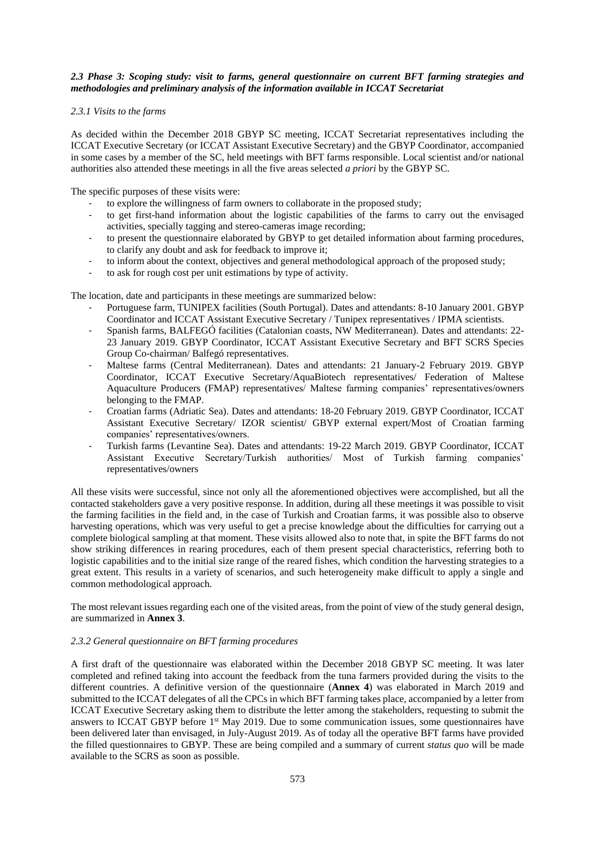## *2.3 Phase 3: Scoping study: visit to farms, general questionnaire on current BFT farming strategies and methodologies and preliminary analysis of the information available in ICCAT Secretariat*

### *2.3.1 Visits to the farms*

As decided within the December 2018 GBYP SC meeting, ICCAT Secretariat representatives including the ICCAT Executive Secretary (or ICCAT Assistant Executive Secretary) and the GBYP Coordinator, accompanied in some cases by a member of the SC, held meetings with BFT farms responsible. Local scientist and/or national authorities also attended these meetings in all the five areas selected *a priori* by the GBYP SC.

The specific purposes of these visits were:

- to explore the willingness of farm owners to collaborate in the proposed study;
- to get first-hand information about the logistic capabilities of the farms to carry out the envisaged activities, specially tagging and stereo-cameras image recording;
- to present the questionnaire elaborated by GBYP to get detailed information about farming procedures, to clarify any doubt and ask for feedback to improve it;
- to inform about the context, objectives and general methodological approach of the proposed study;
- to ask for rough cost per unit estimations by type of activity.

The location, date and participants in these meetings are summarized below:

- Portuguese farm, TUNIPEX facilities (South Portugal). Dates and attendants: 8-10 January 2001. GBYP Coordinator and ICCAT Assistant Executive Secretary / Tunipex representatives / IPMA scientists.
- Spanish farms, BALFEGÓ facilities (Catalonian coasts, NW Mediterranean). Dates and attendants: 22- 23 January 2019. GBYP Coordinator, ICCAT Assistant Executive Secretary and BFT SCRS Species Group Co-chairman/ Balfegó representatives.
- Maltese farms (Central Mediterranean). Dates and attendants: 21 January-2 February 2019. GBYP Coordinator, ICCAT Executive Secretary/AquaBiotech representatives/ Federation of Maltese Aquaculture Producers (FMAP) representatives/ Maltese farming companies' representatives/owners belonging to the FMAP.
- Croatian farms (Adriatic Sea). Dates and attendants: 18-20 February 2019. GBYP Coordinator, ICCAT Assistant Executive Secretary/ IZOR scientist/ GBYP external expert/Most of Croatian farming companies' representatives/owners.
- Turkish farms (Levantine Sea). Dates and attendants: 19-22 March 2019. GBYP Coordinator, ICCAT Assistant Executive Secretary/Turkish authorities/ Most of Turkish farming companies' representatives/owners

All these visits were successful, since not only all the aforementioned objectives were accomplished, but all the contacted stakeholders gave a very positive response. In addition, during all these meetings it was possible to visit the farming facilities in the field and, in the case of Turkish and Croatian farms, it was possible also to observe harvesting operations, which was very useful to get a precise knowledge about the difficulties for carrying out a complete biological sampling at that moment. These visits allowed also to note that, in spite the BFT farms do not show striking differences in rearing procedures, each of them present special characteristics, referring both to logistic capabilities and to the initial size range of the reared fishes, which condition the harvesting strategies to a great extent. This results in a variety of scenarios, and such heterogeneity make difficult to apply a single and common methodological approach.

The most relevant issues regarding each one of the visited areas, from the point of view of the study general design, are summarized in **Annex 3**.

# *2.3.2 General questionnaire on BFT farming procedures*

A first draft of the questionnaire was elaborated within the December 2018 GBYP SC meeting. It was later completed and refined taking into account the feedback from the tuna farmers provided during the visits to the different countries. A definitive version of the questionnaire (**Annex 4**) was elaborated in March 2019 and submitted to the ICCAT delegates of all the CPCs in which BFT farming takes place, accompanied by a letter from ICCAT Executive Secretary asking them to distribute the letter among the stakeholders, requesting to submit the answers to ICCAT GBYP before 1st May 2019. Due to some communication issues, some questionnaires have been delivered later than envisaged, in July-August 2019. As of today all the operative BFT farms have provided the filled questionnaires to GBYP. These are being compiled and a summary of current *status quo* will be made available to the SCRS as soon as possible.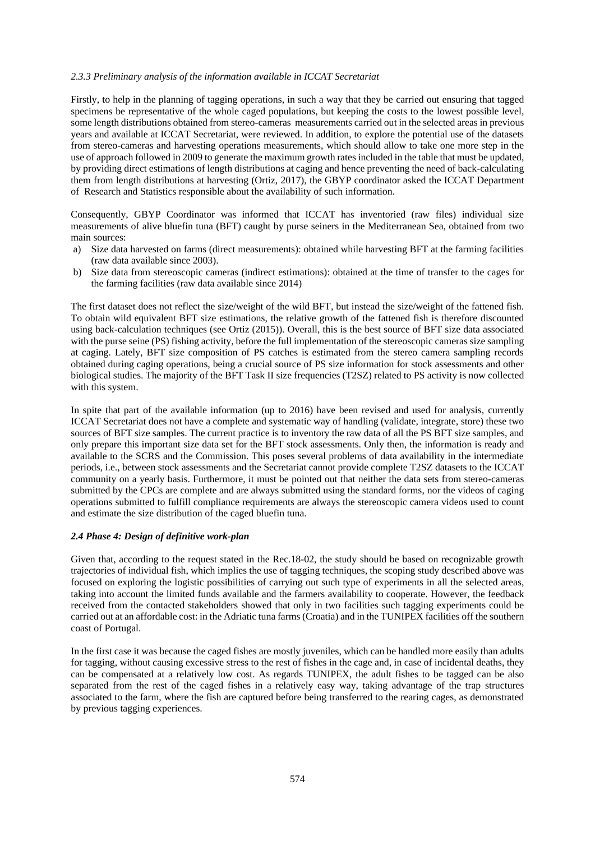### *2.3.3 Preliminary analysis of the information available in ICCAT Secretariat*

Firstly, to help in the planning of tagging operations, in such a way that they be carried out ensuring that tagged specimens be representative of the whole caged populations, but keeping the costs to the lowest possible level, some length distributions obtained from stereo-cameras measurements carried out in the selected areas in previous years and available at ICCAT Secretariat, were reviewed. In addition, to explore the potential use of the datasets from stereo-cameras and harvesting operations measurements, which should allow to take one more step in the use of approach followed in 2009 to generate the maximum growth rates included in the table that must be updated, by providing direct estimations of length distributions at caging and hence preventing the need of back-calculating them from length distributions at harvesting (Ortiz, 2017), the GBYP coordinator asked the ICCAT Department of Research and Statistics responsible about the availability of such information.

Consequently, GBYP Coordinator was informed that ICCAT has inventoried (raw files) individual size measurements of alive bluefin tuna (BFT) caught by purse seiners in the Mediterranean Sea, obtained from two main sources:

- a) Size data harvested on farms (direct measurements): obtained while harvesting BFT at the farming facilities (raw data available since 2003).
- b) Size data from stereoscopic cameras (indirect estimations): obtained at the time of transfer to the cages for the farming facilities (raw data available since 2014)

The first dataset does not reflect the size/weight of the wild BFT, but instead the size/weight of the fattened fish. To obtain wild equivalent BFT size estimations, the relative growth of the fattened fish is therefore discounted using back-calculation techniques (see Ortiz (2015)). Overall, this is the best source of BFT size data associated with the purse seine (PS) fishing activity, before the full implementation of the stereoscopic cameras size sampling at caging. Lately, BFT size composition of PS catches is estimated from the stereo camera sampling records obtained during caging operations, being a crucial source of PS size information for stock assessments and other biological studies. The majority of the BFT Task II size frequencies (T2SZ) related to PS activity is now collected with this system.

In spite that part of the available information (up to 2016) have been revised and used for analysis, currently ICCAT Secretariat does not have a complete and systematic way of handling (validate, integrate, store) these two sources of BFT size samples. The current practice is to inventory the raw data of all the PS BFT size samples, and only prepare this important size data set for the BFT stock assessments. Only then, the information is ready and available to the SCRS and the Commission. This poses several problems of data availability in the intermediate periods, i.e., between stock assessments and the Secretariat cannot provide complete T2SZ datasets to the ICCAT community on a yearly basis. Furthermore, it must be pointed out that neither the data sets from stereo-cameras submitted by the CPCs are complete and are always submitted using the standard forms, nor the videos of caging operations submitted to fulfill compliance requirements are always the stereoscopic camera videos used to count and estimate the size distribution of the caged bluefin tuna.

#### *2.4 Phase 4: Design of definitive work-plan*

Given that, according to the request stated in the Rec.18-02, the study should be based on recognizable growth trajectories of individual fish, which implies the use of tagging techniques, the scoping study described above was focused on exploring the logistic possibilities of carrying out such type of experiments in all the selected areas, taking into account the limited funds available and the farmers availability to cooperate. However, the feedback received from the contacted stakeholders showed that only in two facilities such tagging experiments could be carried out at an affordable cost: in the Adriatic tuna farms (Croatia) and in the TUNIPEX facilities off the southern coast of Portugal.

In the first case it was because the caged fishes are mostly juveniles, which can be handled more easily than adults for tagging, without causing excessive stress to the rest of fishes in the cage and, in case of incidental deaths, they can be compensated at a relatively low cost. As regards TUNIPEX, the adult fishes to be tagged can be also separated from the rest of the caged fishes in a relatively easy way, taking advantage of the trap structures associated to the farm, where the fish are captured before being transferred to the rearing cages, as demonstrated by previous tagging experiences.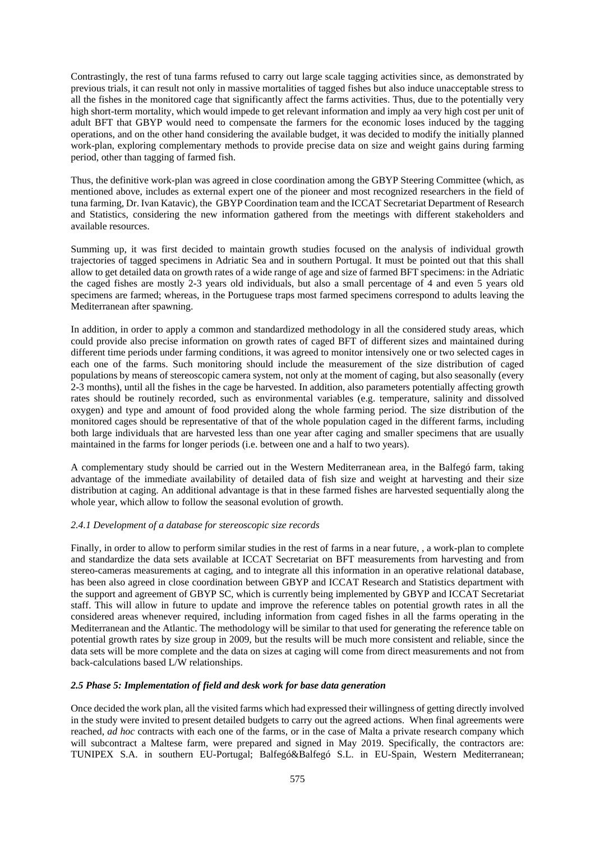Contrastingly, the rest of tuna farms refused to carry out large scale tagging activities since, as demonstrated by previous trials, it can result not only in massive mortalities of tagged fishes but also induce unacceptable stress to all the fishes in the monitored cage that significantly affect the farms activities. Thus, due to the potentially very high short-term mortality, which would impede to get relevant information and imply aa very high cost per unit of adult BFT that GBYP would need to compensate the farmers for the economic loses induced by the tagging operations, and on the other hand considering the available budget, it was decided to modify the initially planned work-plan, exploring complementary methods to provide precise data on size and weight gains during farming period, other than tagging of farmed fish.

Thus, the definitive work-plan was agreed in close coordination among the GBYP Steering Committee (which, as mentioned above, includes as external expert one of the pioneer and most recognized researchers in the field of tuna farming, Dr. Ivan Katavic), the GBYP Coordination team and the ICCAT Secretariat Department of Research and Statistics, considering the new information gathered from the meetings with different stakeholders and available resources.

Summing up, it was first decided to maintain growth studies focused on the analysis of individual growth trajectories of tagged specimens in Adriatic Sea and in southern Portugal. It must be pointed out that this shall allow to get detailed data on growth rates of a wide range of age and size of farmed BFT specimens: in the Adriatic the caged fishes are mostly 2-3 years old individuals, but also a small percentage of 4 and even 5 years old specimens are farmed; whereas, in the Portuguese traps most farmed specimens correspond to adults leaving the Mediterranean after spawning.

In addition, in order to apply a common and standardized methodology in all the considered study areas, which could provide also precise information on growth rates of caged BFT of different sizes and maintained during different time periods under farming conditions, it was agreed to monitor intensively one or two selected cages in each one of the farms. Such monitoring should include the measurement of the size distribution of caged populations by means of stereoscopic camera system, not only at the moment of caging, but also seasonally (every 2-3 months), until all the fishes in the cage be harvested. In addition, also parameters potentially affecting growth rates should be routinely recorded, such as environmental variables (e.g. temperature, salinity and dissolved oxygen) and type and amount of food provided along the whole farming period. The size distribution of the monitored cages should be representative of that of the whole population caged in the different farms, including both large individuals that are harvested less than one year after caging and smaller specimens that are usually maintained in the farms for longer periods (i.e. between one and a half to two years).

A complementary study should be carried out in the Western Mediterranean area, in the Balfegó farm, taking advantage of the immediate availability of detailed data of fish size and weight at harvesting and their size distribution at caging. An additional advantage is that in these farmed fishes are harvested sequentially along the whole year, which allow to follow the seasonal evolution of growth.

# *2.4.1 Development of a database for stereoscopic size records*

Finally, in order to allow to perform similar studies in the rest of farms in a near future, , a work-plan to complete and standardize the data sets available at ICCAT Secretariat on BFT measurements from harvesting and from stereo-cameras measurements at caging, and to integrate all this information in an operative relational database, has been also agreed in close coordination between GBYP and ICCAT Research and Statistics department with the support and agreement of GBYP SC, which is currently being implemented by GBYP and ICCAT Secretariat staff. This will allow in future to update and improve the reference tables on potential growth rates in all the considered areas whenever required, including information from caged fishes in all the farms operating in the Mediterranean and the Atlantic. The methodology will be similar to that used for generating the reference table on potential growth rates by size group in 2009, but the results will be much more consistent and reliable, since the data sets will be more complete and the data on sizes at caging will come from direct measurements and not from back-calculations based L/W relationships.

### *2.5 Phase 5: Implementation of field and desk work for base data generation*

Once decided the work plan, all the visited farms which had expressed their willingness of getting directly involved in the study were invited to present detailed budgets to carry out the agreed actions. When final agreements were reached, *ad hoc* contracts with each one of the farms, or in the case of Malta a private research company which will subcontract a Maltese farm, were prepared and signed in May 2019. Specifically, the contractors are: TUNIPEX S.A. in southern EU-Portugal; Balfegó&Balfegó S.L. in EU-Spain, Western Mediterranean;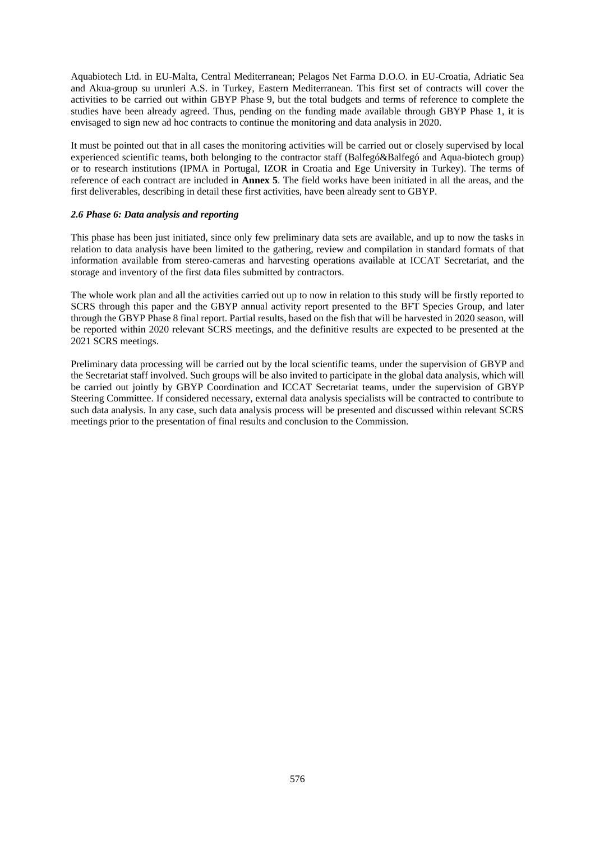Aquabiotech Ltd. in EU-Malta, Central Mediterranean; Pelagos Net Farma D.O.O. in EU-Croatia, Adriatic Sea and Akua-group su urunleri A.S. in Turkey, Eastern Mediterranean. This first set of contracts will cover the activities to be carried out within GBYP Phase 9, but the total budgets and terms of reference to complete the studies have been already agreed. Thus, pending on the funding made available through GBYP Phase 1, it is envisaged to sign new ad hoc contracts to continue the monitoring and data analysis in 2020.

It must be pointed out that in all cases the monitoring activities will be carried out or closely supervised by local experienced scientific teams, both belonging to the contractor staff (Balfegó&Balfegó and Aqua-biotech group) or to research institutions (IPMA in Portugal, IZOR in Croatia and Ege University in Turkey). The terms of reference of each contract are included in **Annex 5**. The field works have been initiated in all the areas, and the first deliverables, describing in detail these first activities, have been already sent to GBYP.

### *2.6 Phase 6: Data analysis and reporting*

This phase has been just initiated, since only few preliminary data sets are available, and up to now the tasks in relation to data analysis have been limited to the gathering, review and compilation in standard formats of that information available from stereo-cameras and harvesting operations available at ICCAT Secretariat, and the storage and inventory of the first data files submitted by contractors.

The whole work plan and all the activities carried out up to now in relation to this study will be firstly reported to SCRS through this paper and the GBYP annual activity report presented to the BFT Species Group, and later through the GBYP Phase 8 final report. Partial results, based on the fish that will be harvested in 2020 season, will be reported within 2020 relevant SCRS meetings, and the definitive results are expected to be presented at the 2021 SCRS meetings.

Preliminary data processing will be carried out by the local scientific teams, under the supervision of GBYP and the Secretariat staff involved. Such groups will be also invited to participate in the global data analysis, which will be carried out jointly by GBYP Coordination and ICCAT Secretariat teams, under the supervision of GBYP Steering Committee. If considered necessary, external data analysis specialists will be contracted to contribute to such data analysis. In any case, such data analysis process will be presented and discussed within relevant SCRS meetings prior to the presentation of final results and conclusion to the Commission.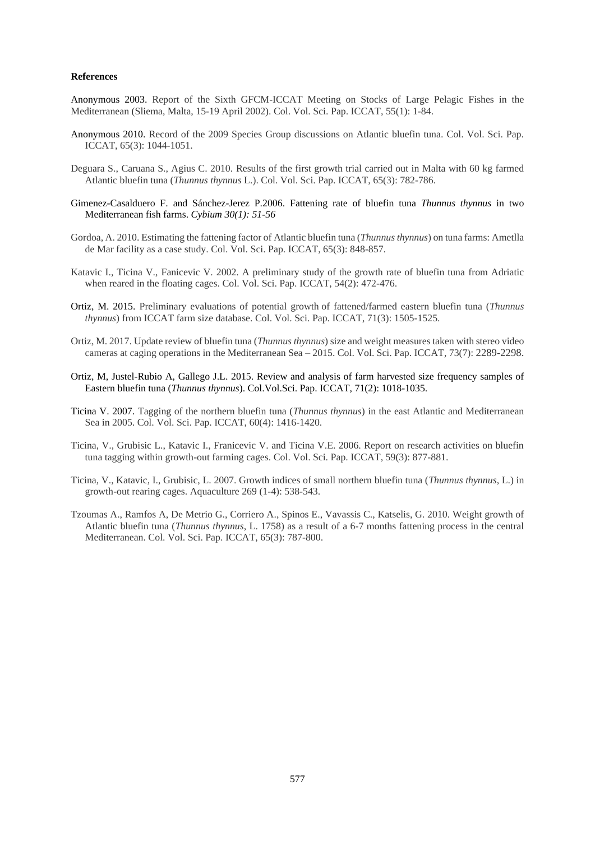#### **References**

Anonymous 2003. Report of the Sixth GFCM-ICCAT Meeting on Stocks of Large Pelagic Fishes in the Mediterranean (Sliema, Malta, 15-19 April 2002). Col. Vol. Sci. Pap. ICCAT, 55(1): 1-84.

- Anonymous 2010. Record of the 2009 Species Group discussions on Atlantic bluefin tuna. Col. Vol. Sci. Pap. ICCAT, 65(3): 1044-1051.
- Deguara S., Caruana S., Agius C. 2010. Results of the first growth trial carried out in Malta with 60 kg farmed Atlantic bluefin tuna (*Thunnus thynnus* L.). Col. Vol. Sci. Pap. ICCAT, 65(3): 782-786.
- Gimenez-Casalduero F. and Sánchez-Jerez P.2006. Fattening rate of bluefin tuna *Thunnus thynnus* in two Mediterranean fish farms. *Cybium 30(1): 51-56*
- Gordoa, A. 2010. Estimating the fattening factor of Atlantic bluefin tuna (*Thunnus thynnus*) on tuna farms: Ametlla de Mar facility as a case study. Col. Vol. Sci. Pap. ICCAT, 65(3): 848-857.
- Katavic I., Ticina V., Fanicevic V. 2002. A preliminary study of the growth rate of bluefin tuna from Adriatic when reared in the floating cages. Col. Vol. Sci. Pap. ICCAT, 54(2): 472-476.
- Ortiz, M. 2015. Preliminary evaluations of potential growth of fattened/farmed eastern bluefin tuna (*Thunnus thynnus*) from ICCAT farm size database. Col. Vol. Sci. Pap. ICCAT, 71(3): 1505-1525.
- Ortiz, M. 2017. Update review of bluefin tuna (*Thunnus thynnus*) size and weight measures taken with stereo video cameras at caging operations in the Mediterranean Sea – 2015. Col. Vol. Sci. Pap. ICCAT, 73(7): 2289-2298.
- Ortiz, M, Justel-Rubio A, Gallego J.L. 2015. Review and analysis of farm harvested size frequency samples of Eastern bluefin tuna (*Thunnus thynnus*). Col.Vol.Sci. Pap. ICCAT, 71(2): 1018-1035.
- Ticina V. 2007. Tagging of the northern bluefin tuna (*Thunnus thynnus*) in the east Atlantic and Mediterranean Sea in 2005. Col. Vol. Sci. Pap. ICCAT, 60(4): 1416-1420.
- Ticina, V., Grubisic L., Katavic I., Franicevic V. and Ticina V.E. 2006. Report on research activities on bluefin tuna tagging within growth-out farming cages. Col. Vol. Sci. Pap. ICCAT, 59(3): 877-881.
- Ticina, V., Katavic, I., Grubisic, L. 2007. Growth indices of small northern bluefin tuna (*Thunnus thynnus*, L.) in growth-out rearing cages. Aquaculture 269 (1-4): 538-543.
- Tzoumas A., Ramfos A, De Metrio G., Corriero A., Spinos E., Vavassis C., Katselis, G. 2010. Weight growth of Atlantic bluefin tuna (*Thunnus thynnus*, L. 1758) as a result of a 6-7 months fattening process in the central Mediterranean. Col. Vol. Sci. Pap. ICCAT, 65(3): 787-800.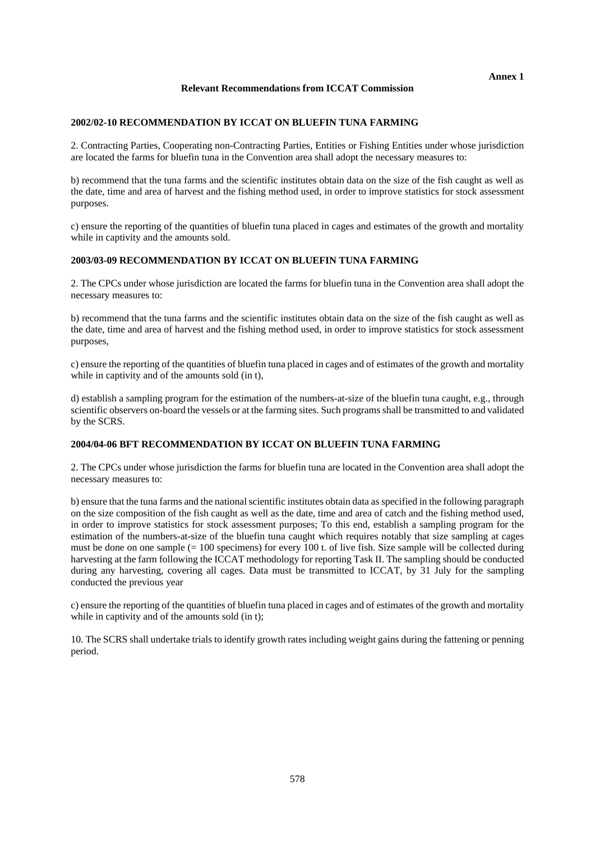### **Relevant Recommendations from ICCAT Commission**

#### **2002/02-10 RECOMMENDATION BY ICCAT ON BLUEFIN TUNA FARMING**

2. Contracting Parties, Cooperating non-Contracting Parties, Entities or Fishing Entities under whose jurisdiction are located the farms for bluefin tuna in the Convention area shall adopt the necessary measures to:

b) recommend that the tuna farms and the scientific institutes obtain data on the size of the fish caught as well as the date, time and area of harvest and the fishing method used, in order to improve statistics for stock assessment purposes.

c) ensure the reporting of the quantities of bluefin tuna placed in cages and estimates of the growth and mortality while in captivity and the amounts sold.

# **2003/03-09 RECOMMENDATION BY ICCAT ON BLUEFIN TUNA FARMING**

2. The CPCs under whose jurisdiction are located the farms for bluefin tuna in the Convention area shall adopt the necessary measures to:

b) recommend that the tuna farms and the scientific institutes obtain data on the size of the fish caught as well as the date, time and area of harvest and the fishing method used, in order to improve statistics for stock assessment purposes,

c) ensure the reporting of the quantities of bluefin tuna placed in cages and of estimates of the growth and mortality while in captivity and of the amounts sold (in t),

d) establish a sampling program for the estimation of the numbers-at-size of the bluefin tuna caught, e.g., through scientific observers on-board the vessels or at the farming sites. Such programs shall be transmitted to and validated by the SCRS.

# **2004/04-06 BFT RECOMMENDATION BY ICCAT ON BLUEFIN TUNA FARMING**

2. The CPCs under whose jurisdiction the farms for bluefin tuna are located in the Convention area shall adopt the necessary measures to:

b) ensure that the tuna farms and the national scientific institutes obtain data as specified in the following paragraph on the size composition of the fish caught as well as the date, time and area of catch and the fishing method used, in order to improve statistics for stock assessment purposes; To this end, establish a sampling program for the estimation of the numbers-at-size of the bluefin tuna caught which requires notably that size sampling at cages must be done on one sample (= 100 specimens) for every 100 t. of live fish. Size sample will be collected during harvesting at the farm following the ICCAT methodology for reporting Task II. The sampling should be conducted during any harvesting, covering all cages. Data must be transmitted to ICCAT, by 31 July for the sampling conducted the previous year

c) ensure the reporting of the quantities of bluefin tuna placed in cages and of estimates of the growth and mortality while in captivity and of the amounts sold (in t);

10. The SCRS shall undertake trials to identify growth rates including weight gains during the fattening or penning period.

**Annex 1**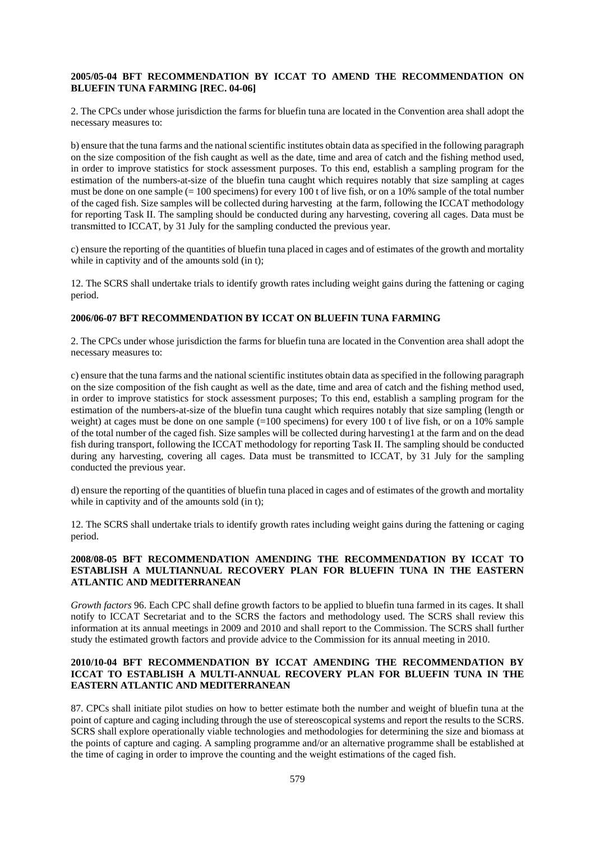# **2005/05-04 BFT RECOMMENDATION BY ICCAT TO AMEND THE RECOMMENDATION ON BLUEFIN TUNA FARMING [REC. 04-06]**

2. The CPCs under whose jurisdiction the farms for bluefin tuna are located in the Convention area shall adopt the necessary measures to:

b) ensure that the tuna farms and the national scientific institutes obtain data as specified in the following paragraph on the size composition of the fish caught as well as the date, time and area of catch and the fishing method used, in order to improve statistics for stock assessment purposes. To this end, establish a sampling program for the estimation of the numbers-at-size of the bluefin tuna caught which requires notably that size sampling at cages must be done on one sample (= 100 specimens) for every 100 t of live fish, or on a 10% sample of the total number of the caged fish. Size samples will be collected during harvesting at the farm, following the ICCAT methodology for reporting Task II. The sampling should be conducted during any harvesting, covering all cages. Data must be transmitted to ICCAT, by 31 July for the sampling conducted the previous year.

c) ensure the reporting of the quantities of bluefin tuna placed in cages and of estimates of the growth and mortality while in captivity and of the amounts sold (in t):

12. The SCRS shall undertake trials to identify growth rates including weight gains during the fattening or caging period.

# **2006/06-07 BFT RECOMMENDATION BY ICCAT ON BLUEFIN TUNA FARMING**

2. The CPCs under whose jurisdiction the farms for bluefin tuna are located in the Convention area shall adopt the necessary measures to:

c) ensure that the tuna farms and the national scientific institutes obtain data as specified in the following paragraph on the size composition of the fish caught as well as the date, time and area of catch and the fishing method used, in order to improve statistics for stock assessment purposes; To this end, establish a sampling program for the estimation of the numbers-at-size of the bluefin tuna caught which requires notably that size sampling (length or weight) at cages must be done on one sample (=100 specimens) for every 100 t of live fish, or on a 10% sample of the total number of the caged fish. Size samples will be collected during harvesting1 at the farm and on the dead fish during transport, following the ICCAT methodology for reporting Task II. The sampling should be conducted during any harvesting, covering all cages. Data must be transmitted to ICCAT, by 31 July for the sampling conducted the previous year.

d) ensure the reporting of the quantities of bluefin tuna placed in cages and of estimates of the growth and mortality while in captivity and of the amounts sold (in t);

12. The SCRS shall undertake trials to identify growth rates including weight gains during the fattening or caging period.

# **2008/08-05 BFT RECOMMENDATION AMENDING THE RECOMMENDATION BY ICCAT TO ESTABLISH A MULTIANNUAL RECOVERY PLAN FOR BLUEFIN TUNA IN THE EASTERN ATLANTIC AND MEDITERRANEAN**

*Growth factors* 96. Each CPC shall define growth factors to be applied to bluefin tuna farmed in its cages. It shall notify to ICCAT Secretariat and to the SCRS the factors and methodology used. The SCRS shall review this information at its annual meetings in 2009 and 2010 and shall report to the Commission. The SCRS shall further study the estimated growth factors and provide advice to the Commission for its annual meeting in 2010.

# **2010/10-04 BFT RECOMMENDATION BY ICCAT AMENDING THE RECOMMENDATION BY ICCAT TO ESTABLISH A MULTI-ANNUAL RECOVERY PLAN FOR BLUEFIN TUNA IN THE EASTERN ATLANTIC AND MEDITERRANEAN**

87. CPCs shall initiate pilot studies on how to better estimate both the number and weight of bluefin tuna at the point of capture and caging including through the use of stereoscopical systems and report the results to the SCRS. SCRS shall explore operationally viable technologies and methodologies for determining the size and biomass at the points of capture and caging. A sampling programme and/or an alternative programme shall be established at the time of caging in order to improve the counting and the weight estimations of the caged fish.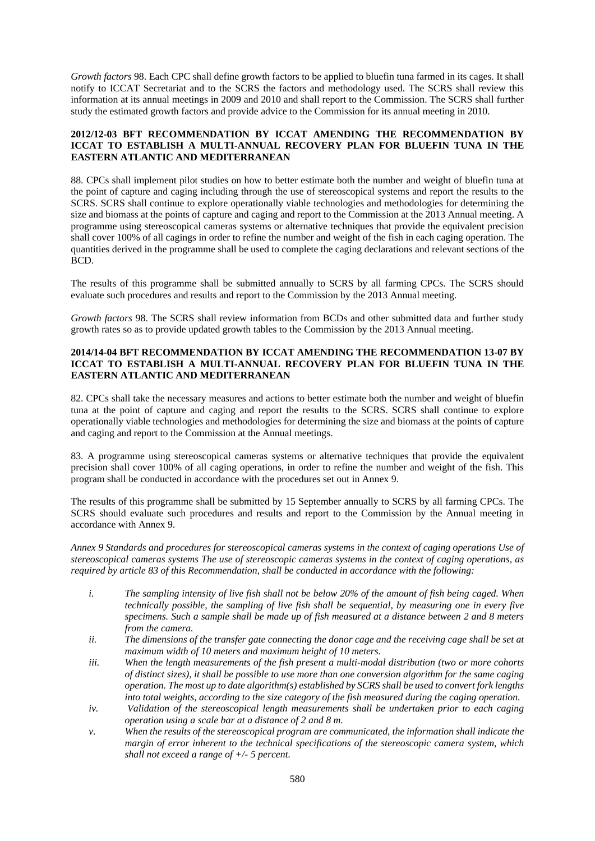*Growth factors* 98. Each CPC shall define growth factors to be applied to bluefin tuna farmed in its cages. It shall notify to ICCAT Secretariat and to the SCRS the factors and methodology used. The SCRS shall review this information at its annual meetings in 2009 and 2010 and shall report to the Commission. The SCRS shall further study the estimated growth factors and provide advice to the Commission for its annual meeting in 2010.

# **2012/12-03 BFT RECOMMENDATION BY ICCAT AMENDING THE RECOMMENDATION BY ICCAT TO ESTABLISH A MULTI-ANNUAL RECOVERY PLAN FOR BLUEFIN TUNA IN THE EASTERN ATLANTIC AND MEDITERRANEAN**

88. CPCs shall implement pilot studies on how to better estimate both the number and weight of bluefin tuna at the point of capture and caging including through the use of stereoscopical systems and report the results to the SCRS. SCRS shall continue to explore operationally viable technologies and methodologies for determining the size and biomass at the points of capture and caging and report to the Commission at the 2013 Annual meeting. A programme using stereoscopical cameras systems or alternative techniques that provide the equivalent precision shall cover 100% of all cagings in order to refine the number and weight of the fish in each caging operation. The quantities derived in the programme shall be used to complete the caging declarations and relevant sections of the BCD.

The results of this programme shall be submitted annually to SCRS by all farming CPCs. The SCRS should evaluate such procedures and results and report to the Commission by the 2013 Annual meeting.

*Growth factors* 98. The SCRS shall review information from BCDs and other submitted data and further study growth rates so as to provide updated growth tables to the Commission by the 2013 Annual meeting.

# **2014/14-04 BFT RECOMMENDATION BY ICCAT AMENDING THE RECOMMENDATION 13-07 BY ICCAT TO ESTABLISH A MULTI-ANNUAL RECOVERY PLAN FOR BLUEFIN TUNA IN THE EASTERN ATLANTIC AND MEDITERRANEAN**

82. CPCs shall take the necessary measures and actions to better estimate both the number and weight of bluefin tuna at the point of capture and caging and report the results to the SCRS. SCRS shall continue to explore operationally viable technologies and methodologies for determining the size and biomass at the points of capture and caging and report to the Commission at the Annual meetings.

83. A programme using stereoscopical cameras systems or alternative techniques that provide the equivalent precision shall cover 100% of all caging operations, in order to refine the number and weight of the fish. This program shall be conducted in accordance with the procedures set out in Annex 9.

The results of this programme shall be submitted by 15 September annually to SCRS by all farming CPCs. The SCRS should evaluate such procedures and results and report to the Commission by the Annual meeting in accordance with Annex 9.

*Annex 9 Standards and procedures for stereoscopical cameras systems in the context of caging operations Use of stereoscopical cameras systems The use of stereoscopic cameras systems in the context of caging operations, as required by article 83 of this Recommendation, shall be conducted in accordance with the following:* 

- *i. The sampling intensity of live fish shall not be below 20% of the amount of fish being caged. When technically possible, the sampling of live fish shall be sequential, by measuring one in every five specimens. Such a sample shall be made up of fish measured at a distance between 2 and 8 meters from the camera.*
- *ii. The dimensions of the transfer gate connecting the donor cage and the receiving cage shall be set at maximum width of 10 meters and maximum height of 10 meters.*
- *iii. When the length measurements of the fish present a multi-modal distribution (two or more cohorts of distinct sizes), it shall be possible to use more than one conversion algorithm for the same caging operation. The most up to date algorithm(s) established by SCRS shall be used to convert fork lengths into total weights, according to the size category of the fish measured during the caging operation.*
- *iv. Validation of the stereoscopical length measurements shall be undertaken prior to each caging operation using a scale bar at a distance of 2 and 8 m.*
- *v. When the results of the stereoscopical program are communicated, the information shall indicate the margin of error inherent to the technical specifications of the stereoscopic camera system, which shall not exceed a range of +/- 5 percent.*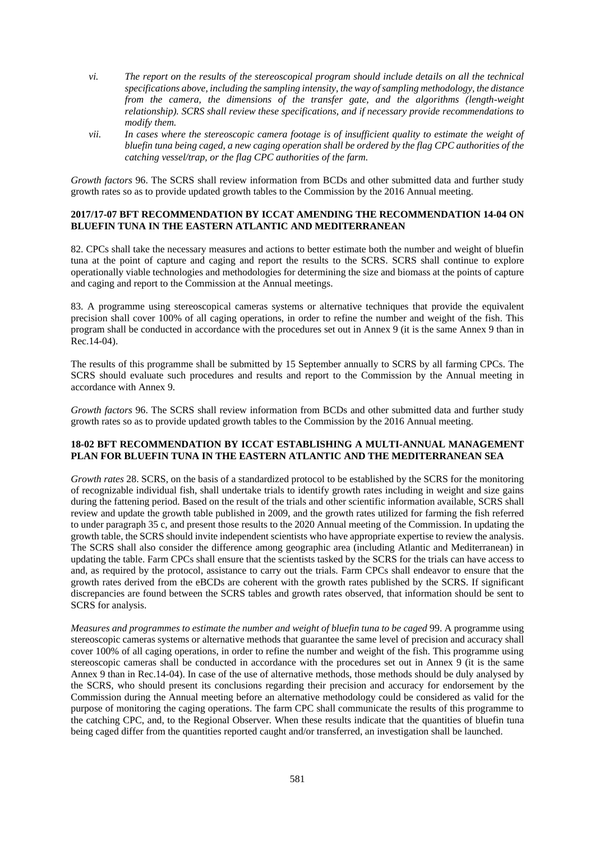- *vi. The report on the results of the stereoscopical program should include details on all the technical specifications above, including the sampling intensity, the way of sampling methodology, the distance from the camera, the dimensions of the transfer gate, and the algorithms (length-weight relationship). SCRS shall review these specifications, and if necessary provide recommendations to modify them.*
- *vii. In cases where the stereoscopic camera footage is of insufficient quality to estimate the weight of bluefin tuna being caged, a new caging operation shall be ordered by the flag CPC authorities of the catching vessel/trap, or the flag CPC authorities of the farm.*

*Growth factors* 96. The SCRS shall review information from BCDs and other submitted data and further study growth rates so as to provide updated growth tables to the Commission by the 2016 Annual meeting.

### **2017/17-07 BFT RECOMMENDATION BY ICCAT AMENDING THE RECOMMENDATION 14-04 ON BLUEFIN TUNA IN THE EASTERN ATLANTIC AND MEDITERRANEAN**

82. CPCs shall take the necessary measures and actions to better estimate both the number and weight of bluefin tuna at the point of capture and caging and report the results to the SCRS. SCRS shall continue to explore operationally viable technologies and methodologies for determining the size and biomass at the points of capture and caging and report to the Commission at the Annual meetings.

83. A programme using stereoscopical cameras systems or alternative techniques that provide the equivalent precision shall cover 100% of all caging operations, in order to refine the number and weight of the fish. This program shall be conducted in accordance with the procedures set out in Annex 9 (it is the same Annex 9 than in Rec.14-04).

The results of this programme shall be submitted by 15 September annually to SCRS by all farming CPCs. The SCRS should evaluate such procedures and results and report to the Commission by the Annual meeting in accordance with Annex 9.

*Growth factors* 96. The SCRS shall review information from BCDs and other submitted data and further study growth rates so as to provide updated growth tables to the Commission by the 2016 Annual meeting.

# **18-02 BFT RECOMMENDATION BY ICCAT ESTABLISHING A MULTI-ANNUAL MANAGEMENT PLAN FOR BLUEFIN TUNA IN THE EASTERN ATLANTIC AND THE MEDITERRANEAN SEA**

*Growth rates* 28. SCRS, on the basis of a standardized protocol to be established by the SCRS for the monitoring of recognizable individual fish, shall undertake trials to identify growth rates including in weight and size gains during the fattening period. Based on the result of the trials and other scientific information available, SCRS shall review and update the growth table published in 2009, and the growth rates utilized for farming the fish referred to under paragraph 35 c, and present those results to the 2020 Annual meeting of the Commission. In updating the growth table, the SCRS should invite independent scientists who have appropriate expertise to review the analysis. The SCRS shall also consider the difference among geographic area (including Atlantic and Mediterranean) in updating the table. Farm CPCs shall ensure that the scientists tasked by the SCRS for the trials can have access to and, as required by the protocol, assistance to carry out the trials. Farm CPCs shall endeavor to ensure that the growth rates derived from the eBCDs are coherent with the growth rates published by the SCRS. If significant discrepancies are found between the SCRS tables and growth rates observed, that information should be sent to SCRS for analysis.

*Measures and programmes to estimate the number and weight of bluefin tuna to be caged* 99. A programme using stereoscopic cameras systems or alternative methods that guarantee the same level of precision and accuracy shall cover 100% of all caging operations, in order to refine the number and weight of the fish. This programme using stereoscopic cameras shall be conducted in accordance with the procedures set out in Annex 9 (it is the same Annex 9 than in Rec.14-04). In case of the use of alternative methods, those methods should be duly analysed by the SCRS, who should present its conclusions regarding their precision and accuracy for endorsement by the Commission during the Annual meeting before an alternative methodology could be considered as valid for the purpose of monitoring the caging operations. The farm CPC shall communicate the results of this programme to the catching CPC, and, to the Regional Observer. When these results indicate that the quantities of bluefin tuna being caged differ from the quantities reported caught and/or transferred, an investigation shall be launched.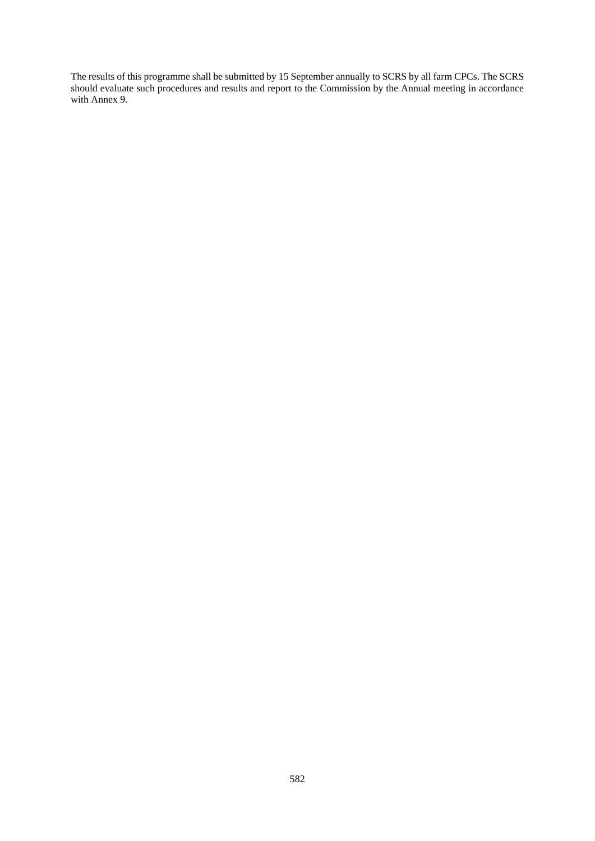The results of this programme shall be submitted by 15 September annually to SCRS by all farm CPCs. The SCRS should evaluate such procedures and results and report to the Commission by the Annual meeting in accordance with Annex 9.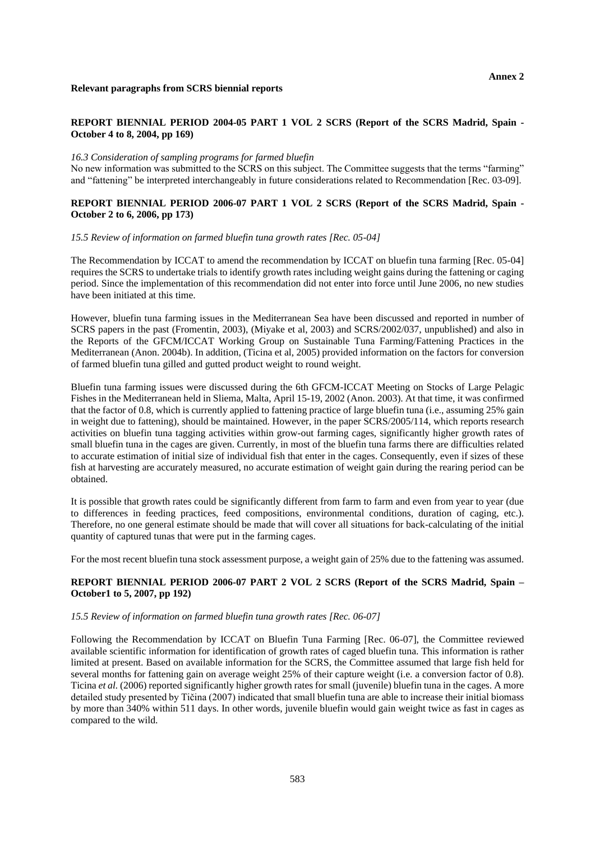#### **REPORT BIENNIAL PERIOD 2004-05 PART 1 VOL 2 SCRS (Report of the SCRS Madrid, Spain - October 4 to 8, 2004, pp 169)**

#### *16.3 Consideration of sampling programs for farmed bluefin*

No new information was submitted to the SCRS on this subject. The Committee suggests that the terms "farming" and "fattening" be interpreted interchangeably in future considerations related to Recommendation [Rec. 03-09].

# **REPORT BIENNIAL PERIOD 2006-07 PART 1 VOL 2 SCRS (Report of the SCRS Madrid, Spain - October 2 to 6, 2006, pp 173)**

#### *15.5 Review of information on farmed bluefin tuna growth rates [Rec. 05-04]*

The Recommendation by ICCAT to amend the recommendation by ICCAT on bluefin tuna farming [Rec. 05-04] requires the SCRS to undertake trials to identify growth rates including weight gains during the fattening or caging period. Since the implementation of this recommendation did not enter into force until June 2006, no new studies have been initiated at this time.

However, bluefin tuna farming issues in the Mediterranean Sea have been discussed and reported in number of SCRS papers in the past (Fromentin, 2003), (Miyake et al, 2003) and SCRS/2002/037, unpublished) and also in the Reports of the GFCM/ICCAT Working Group on Sustainable Tuna Farming/Fattening Practices in the Mediterranean (Anon. 2004b). In addition, (Ticina et al, 2005) provided information on the factors for conversion of farmed bluefin tuna gilled and gutted product weight to round weight.

Bluefin tuna farming issues were discussed during the 6th GFCM-ICCAT Meeting on Stocks of Large Pelagic Fishes in the Mediterranean held in Sliema, Malta, April 15-19, 2002 (Anon. 2003). At that time, it was confirmed that the factor of 0.8, which is currently applied to fattening practice of large bluefin tuna (i.e., assuming 25% gain in weight due to fattening), should be maintained. However, in the paper SCRS/2005/114, which reports research activities on bluefin tuna tagging activities within grow-out farming cages, significantly higher growth rates of small bluefin tuna in the cages are given. Currently, in most of the bluefin tuna farms there are difficulties related to accurate estimation of initial size of individual fish that enter in the cages. Consequently, even if sizes of these fish at harvesting are accurately measured, no accurate estimation of weight gain during the rearing period can be obtained.

It is possible that growth rates could be significantly different from farm to farm and even from year to year (due to differences in feeding practices, feed compositions, environmental conditions, duration of caging, etc.). Therefore, no one general estimate should be made that will cover all situations for back-calculating of the initial quantity of captured tunas that were put in the farming cages.

For the most recent bluefin tuna stock assessment purpose, a weight gain of 25% due to the fattening was assumed.

### **REPORT BIENNIAL PERIOD 2006-07 PART 2 VOL 2 SCRS (Report of the SCRS Madrid, Spain – October1 to 5, 2007, pp 192)**

# *15.5 Review of information on farmed bluefin tuna growth rates [Rec. 06-07]*

Following the Recommendation by ICCAT on Bluefin Tuna Farming [Rec. 06-07], the Committee reviewed available scientific information for identification of growth rates of caged bluefin tuna. This information is rather limited at present. Based on available information for the SCRS, the Committee assumed that large fish held for several months for fattening gain on average weight 25% of their capture weight (i.e. a conversion factor of 0.8). Ticina *et al.* (2006) reported significantly higher growth rates for small (juvenile) bluefin tuna in the cages. A more detailed study presented by Tičina (2007) indicated that small bluefin tuna are able to increase their initial biomass by more than 340% within 511 days. In other words, juvenile bluefin would gain weight twice as fast in cages as compared to the wild.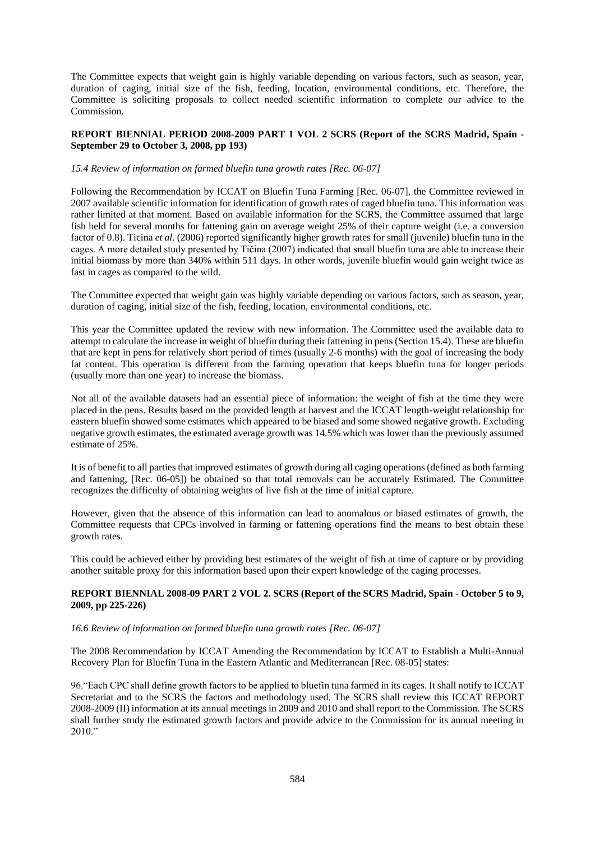The Committee expects that weight gain is highly variable depending on various factors, such as season, year, duration of caging, initial size of the fish, feeding, location, environmental conditions, etc. Therefore, the Committee is soliciting proposals to collect needed scientific information to complete our advice to the Commission.

### **REPORT BIENNIAL PERIOD 2008-2009 PART 1 VOL 2 SCRS (Report of the SCRS Madrid, Spain - September 29 to October 3, 2008, pp 193)**

### *15.4 Review of information on farmed bluefin tuna growth rates [Rec. 06-07]*

Following the Recommendation by ICCAT on Bluefin Tuna Farming [Rec. 06-07], the Committee reviewed in 2007 available scientific information for identification of growth rates of caged bluefin tuna. This information was rather limited at that moment. Based on available information for the SCRS, the Committee assumed that large fish held for several months for fattening gain on average weight 25% of their capture weight (i.e. a conversion factor of 0.8). Ticina *et al.* (2006) reported significantly higher growth rates for small (juvenile) bluefin tuna in the cages. A more detailed study presented by Tičina (2007) indicated that small bluefin tuna are able to increase their initial biomass by more than 340% within 511 days. In other words, juvenile bluefin would gain weight twice as fast in cages as compared to the wild.

The Committee expected that weight gain was highly variable depending on various factors, such as season, year, duration of caging, initial size of the fish, feeding, location, environmental conditions, etc.

This year the Committee updated the review with new information. The Committee used the available data to attempt to calculate the increase in weight of bluefin during their fattening in pens (Section 15.4). These are bluefin that are kept in pens for relatively short period of times (usually 2-6 months) with the goal of increasing the body fat content. This operation is different from the farming operation that keeps bluefin tuna for longer periods (usually more than one year) to increase the biomass.

Not all of the available datasets had an essential piece of information: the weight of fish at the time they were placed in the pens. Results based on the provided length at harvest and the ICCAT length-weight relationship for eastern bluefin showed some estimates which appeared to be biased and some showed negative growth. Excluding negative growth estimates, the estimated average growth was 14.5% which was lower than the previously assumed estimate of 25%.

It is of benefit to all parties that improved estimates of growth during all caging operations (defined as both farming and fattening, [Rec. 06-05]) be obtained so that total removals can be accurately Estimated. The Committee recognizes the difficulty of obtaining weights of live fish at the time of initial capture.

However, given that the absence of this information can lead to anomalous or biased estimates of growth, the Committee requests that CPCs involved in farming or fattening operations find the means to best obtain these growth rates.

This could be achieved either by providing best estimates of the weight of fish at time of capture or by providing another suitable proxy for this information based upon their expert knowledge of the caging processes.

# **REPORT BIENNIAL 2008-09 PART 2 VOL 2. SCRS (Report of the SCRS Madrid, Spain - October 5 to 9, 2009, pp 225-226)**

### *16.6 Review of information on farmed bluefin tuna growth rates [Rec. 06-07]*

The 2008 Recommendation by ICCAT Amending the Recommendation by ICCAT to Establish a Multi-Annual Recovery Plan for Bluefin Tuna in the Eastern Atlantic and Mediterranean [Rec. 08-05] states:

96."Each CPC shall define growth factors to be applied to bluefin tuna farmed in its cages. It shall notify to ICCAT Secretariat and to the SCRS the factors and methodology used. The SCRS shall review this ICCAT REPORT 2008-2009 (II) information at its annual meetings in 2009 and 2010 and shall report to the Commission. The SCRS shall further study the estimated growth factors and provide advice to the Commission for its annual meeting in 2010."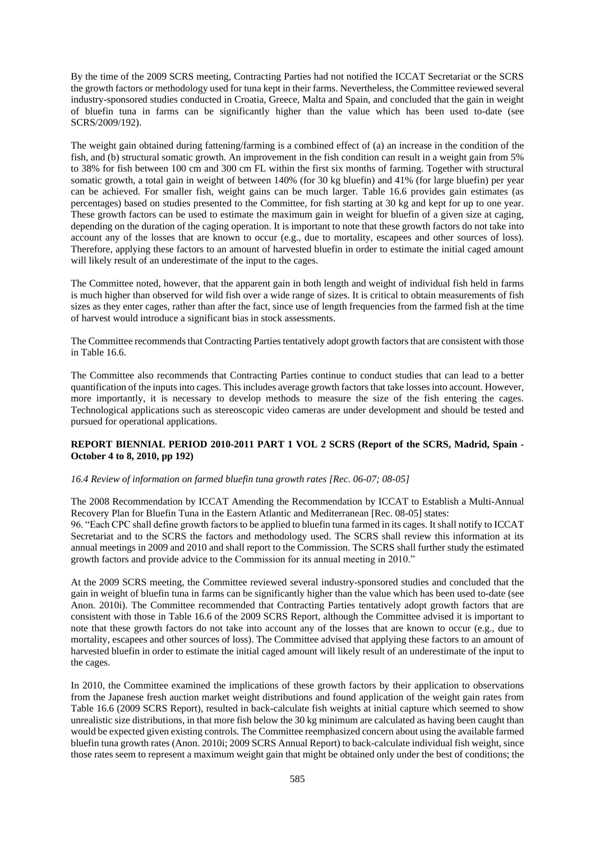By the time of the 2009 SCRS meeting, Contracting Parties had not notified the ICCAT Secretariat or the SCRS the growth factors or methodology used for tuna kept in their farms. Nevertheless, the Committee reviewed several industry-sponsored studies conducted in Croatia, Greece, Malta and Spain, and concluded that the gain in weight of bluefin tuna in farms can be significantly higher than the value which has been used to-date (see SCRS/2009/192).

The weight gain obtained during fattening/farming is a combined effect of (a) an increase in the condition of the fish, and (b) structural somatic growth. An improvement in the fish condition can result in a weight gain from 5% to 38% for fish between 100 cm and 300 cm FL within the first six months of farming. Together with structural somatic growth, a total gain in weight of between 140% (for 30 kg bluefin) and 41% (for large bluefin) per year can be achieved. For smaller fish, weight gains can be much larger. Table 16.6 provides gain estimates (as percentages) based on studies presented to the Committee, for fish starting at 30 kg and kept for up to one year. These growth factors can be used to estimate the maximum gain in weight for bluefin of a given size at caging, depending on the duration of the caging operation. It is important to note that these growth factors do not take into account any of the losses that are known to occur (e.g., due to mortality, escapees and other sources of loss). Therefore, applying these factors to an amount of harvested bluefin in order to estimate the initial caged amount will likely result of an underestimate of the input to the cages.

The Committee noted, however, that the apparent gain in both length and weight of individual fish held in farms is much higher than observed for wild fish over a wide range of sizes. It is critical to obtain measurements of fish sizes as they enter cages, rather than after the fact, since use of length frequencies from the farmed fish at the time of harvest would introduce a significant bias in stock assessments.

The Committee recommends that Contracting Parties tentatively adopt growth factors that are consistent with those in Table 16.6.

The Committee also recommends that Contracting Parties continue to conduct studies that can lead to a better quantification of the inputs into cages. This includes average growth factors that take losses into account. However, more importantly, it is necessary to develop methods to measure the size of the fish entering the cages. Technological applications such as stereoscopic video cameras are under development and should be tested and pursued for operational applications.

# **REPORT BIENNIAL PERIOD 2010-2011 PART 1 VOL 2 SCRS (Report of the SCRS, Madrid, Spain - October 4 to 8, 2010, pp 192)**

#### *16.4 Review of information on farmed bluefin tuna growth rates [Rec. 06-07; 08-05]*

The 2008 Recommendation by ICCAT Amending the Recommendation by ICCAT to Establish a Multi-Annual Recovery Plan for Bluefin Tuna in the Eastern Atlantic and Mediterranean [Rec. 08-05] states: 96. "Each CPC shall define growth factors to be applied to bluefin tuna farmed in its cages. It shall notify to ICCAT Secretariat and to the SCRS the factors and methodology used. The SCRS shall review this information at its annual meetings in 2009 and 2010 and shall report to the Commission. The SCRS shall further study the estimated growth factors and provide advice to the Commission for its annual meeting in 2010."

At the 2009 SCRS meeting, the Committee reviewed several industry-sponsored studies and concluded that the gain in weight of bluefin tuna in farms can be significantly higher than the value which has been used to-date (see Anon. 2010i). The Committee recommended that Contracting Parties tentatively adopt growth factors that are consistent with those in Table 16.6 of the 2009 SCRS Report, although the Committee advised it is important to note that these growth factors do not take into account any of the losses that are known to occur (e.g., due to mortality, escapees and other sources of loss). The Committee advised that applying these factors to an amount of harvested bluefin in order to estimate the initial caged amount will likely result of an underestimate of the input to the cages.

In 2010, the Committee examined the implications of these growth factors by their application to observations from the Japanese fresh auction market weight distributions and found application of the weight gain rates from Table 16.6 (2009 SCRS Report), resulted in back-calculate fish weights at initial capture which seemed to show unrealistic size distributions, in that more fish below the 30 kg minimum are calculated as having been caught than would be expected given existing controls. The Committee reemphasized concern about using the available farmed bluefin tuna growth rates (Anon. 2010i; 2009 SCRS Annual Report) to back-calculate individual fish weight, since those rates seem to represent a maximum weight gain that might be obtained only under the best of conditions; the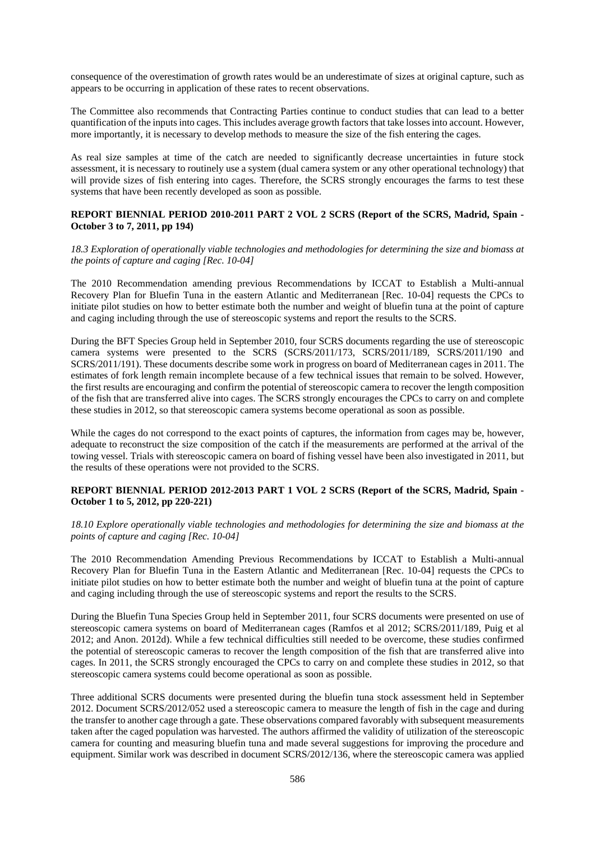consequence of the overestimation of growth rates would be an underestimate of sizes at original capture, such as appears to be occurring in application of these rates to recent observations.

The Committee also recommends that Contracting Parties continue to conduct studies that can lead to a better quantification of the inputs into cages. This includes average growth factors that take losses into account. However, more importantly, it is necessary to develop methods to measure the size of the fish entering the cages.

As real size samples at time of the catch are needed to significantly decrease uncertainties in future stock assessment, it is necessary to routinely use a system (dual camera system or any other operational technology) that will provide sizes of fish entering into cages. Therefore, the SCRS strongly encourages the farms to test these systems that have been recently developed as soon as possible.

# **REPORT BIENNIAL PERIOD 2010-2011 PART 2 VOL 2 SCRS (Report of the SCRS, Madrid, Spain - October 3 to 7, 2011, pp 194)**

*18.3 Exploration of operationally viable technologies and methodologies for determining the size and biomass at the points of capture and caging [Rec. 10-04]*

The 2010 Recommendation amending previous Recommendations by ICCAT to Establish a Multi-annual Recovery Plan for Bluefin Tuna in the eastern Atlantic and Mediterranean [Rec. 10-04] requests the CPCs to initiate pilot studies on how to better estimate both the number and weight of bluefin tuna at the point of capture and caging including through the use of stereoscopic systems and report the results to the SCRS.

During the BFT Species Group held in September 2010, four SCRS documents regarding the use of stereoscopic camera systems were presented to the SCRS (SCRS/2011/173, SCRS/2011/189, SCRS/2011/190 and SCRS/2011/191). These documents describe some work in progress on board of Mediterranean cages in 2011. The estimates of fork length remain incomplete because of a few technical issues that remain to be solved. However, the first results are encouraging and confirm the potential of stereoscopic camera to recover the length composition of the fish that are transferred alive into cages. The SCRS strongly encourages the CPCs to carry on and complete these studies in 2012, so that stereoscopic camera systems become operational as soon as possible.

While the cages do not correspond to the exact points of captures, the information from cages may be, however, adequate to reconstruct the size composition of the catch if the measurements are performed at the arrival of the towing vessel. Trials with stereoscopic camera on board of fishing vessel have been also investigated in 2011, but the results of these operations were not provided to the SCRS.

# **REPORT BIENNIAL PERIOD 2012-2013 PART 1 VOL 2 SCRS (Report of the SCRS, Madrid, Spain - October 1 to 5, 2012, pp 220-221)**

*18.10 Explore operationally viable technologies and methodologies for determining the size and biomass at the points of capture and caging [Rec. 10-04]*

The 2010 Recommendation Amending Previous Recommendations by ICCAT to Establish a Multi-annual Recovery Plan for Bluefin Tuna in the Eastern Atlantic and Mediterranean [Rec. 10-04] requests the CPCs to initiate pilot studies on how to better estimate both the number and weight of bluefin tuna at the point of capture and caging including through the use of stereoscopic systems and report the results to the SCRS.

During the Bluefin Tuna Species Group held in September 2011, four SCRS documents were presented on use of stereoscopic camera systems on board of Mediterranean cages (Ramfos et al 2012; SCRS/2011/189, Puig et al 2012; and Anon. 2012d). While a few technical difficulties still needed to be overcome, these studies confirmed the potential of stereoscopic cameras to recover the length composition of the fish that are transferred alive into cages. In 2011, the SCRS strongly encouraged the CPCs to carry on and complete these studies in 2012, so that stereoscopic camera systems could become operational as soon as possible.

Three additional SCRS documents were presented during the bluefin tuna stock assessment held in September 2012. Document SCRS/2012/052 used a stereoscopic camera to measure the length of fish in the cage and during the transfer to another cage through a gate. These observations compared favorably with subsequent measurements taken after the caged population was harvested. The authors affirmed the validity of utilization of the stereoscopic camera for counting and measuring bluefin tuna and made several suggestions for improving the procedure and equipment. Similar work was described in document SCRS/2012/136, where the stereoscopic camera was applied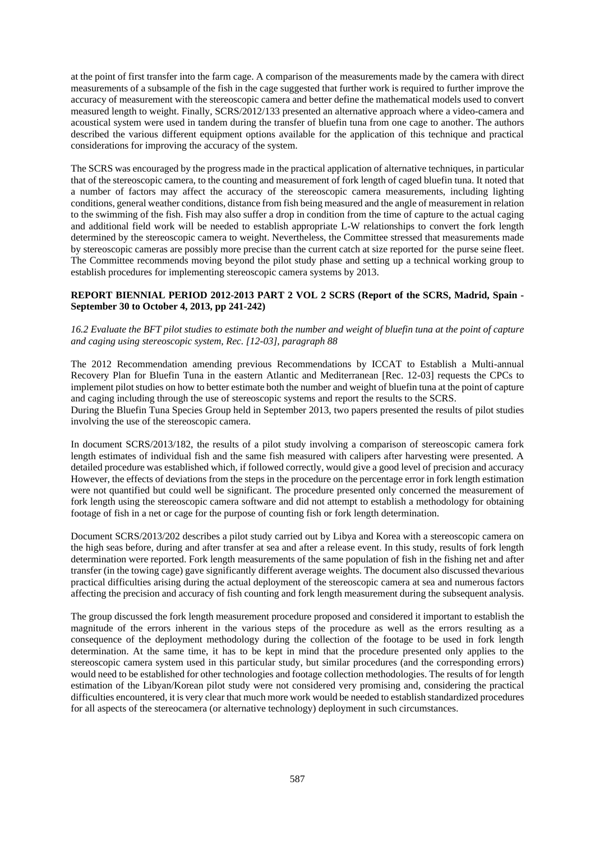at the point of first transfer into the farm cage. A comparison of the measurements made by the camera with direct measurements of a subsample of the fish in the cage suggested that further work is required to further improve the accuracy of measurement with the stereoscopic camera and better define the mathematical models used to convert measured length to weight. Finally, SCRS/2012/133 presented an alternative approach where a video-camera and acoustical system were used in tandem during the transfer of bluefin tuna from one cage to another. The authors described the various different equipment options available for the application of this technique and practical considerations for improving the accuracy of the system.

The SCRS was encouraged by the progress made in the practical application of alternative techniques, in particular that of the stereoscopic camera, to the counting and measurement of fork length of caged bluefin tuna. It noted that a number of factors may affect the accuracy of the stereoscopic camera measurements, including lighting conditions, general weather conditions, distance from fish being measured and the angle of measurement in relation to the swimming of the fish. Fish may also suffer a drop in condition from the time of capture to the actual caging and additional field work will be needed to establish appropriate L-W relationships to convert the fork length determined by the stereoscopic camera to weight. Nevertheless, the Committee stressed that measurements made by stereoscopic cameras are possibly more precise than the current catch at size reported for the purse seine fleet. The Committee recommends moving beyond the pilot study phase and setting up a technical working group to establish procedures for implementing stereoscopic camera systems by 2013.

### **REPORT BIENNIAL PERIOD 2012-2013 PART 2 VOL 2 SCRS (Report of the SCRS, Madrid, Spain - September 30 to October 4, 2013, pp 241-242)**

### *16.2 Evaluate the BFT pilot studies to estimate both the number and weight of bluefin tuna at the point of capture and caging using stereoscopic system, Rec. [12-03], paragraph 88*

The 2012 Recommendation amending previous Recommendations by ICCAT to Establish a Multi-annual Recovery Plan for Bluefin Tuna in the eastern Atlantic and Mediterranean [Rec. 12-03] requests the CPCs to implement pilot studies on how to better estimate both the number and weight of bluefin tuna at the point of capture and caging including through the use of stereoscopic systems and report the results to the SCRS. During the Bluefin Tuna Species Group held in September 2013, two papers presented the results of pilot studies involving the use of the stereoscopic camera.

In document SCRS/2013/182, the results of a pilot study involving a comparison of stereoscopic camera fork length estimates of individual fish and the same fish measured with calipers after harvesting were presented. A detailed procedure was established which, if followed correctly, would give a good level of precision and accuracy However, the effects of deviations from the steps in the procedure on the percentage error in fork length estimation were not quantified but could well be significant. The procedure presented only concerned the measurement of fork length using the stereoscopic camera software and did not attempt to establish a methodology for obtaining footage of fish in a net or cage for the purpose of counting fish or fork length determination.

Document SCRS/2013/202 describes a pilot study carried out by Libya and Korea with a stereoscopic camera on the high seas before, during and after transfer at sea and after a release event. In this study, results of fork length determination were reported. Fork length measurements of the same population of fish in the fishing net and after transfer (in the towing cage) gave significantly different average weights. The document also discussed thevarious practical difficulties arising during the actual deployment of the stereoscopic camera at sea and numerous factors affecting the precision and accuracy of fish counting and fork length measurement during the subsequent analysis.

The group discussed the fork length measurement procedure proposed and considered it important to establish the magnitude of the errors inherent in the various steps of the procedure as well as the errors resulting as a consequence of the deployment methodology during the collection of the footage to be used in fork length determination. At the same time, it has to be kept in mind that the procedure presented only applies to the stereoscopic camera system used in this particular study, but similar procedures (and the corresponding errors) would need to be established for other technologies and footage collection methodologies. The results of for length estimation of the Libyan/Korean pilot study were not considered very promising and, considering the practical difficulties encountered, it is very clear that much more work would be needed to establish standardized procedures for all aspects of the stereocamera (or alternative technology) deployment in such circumstances.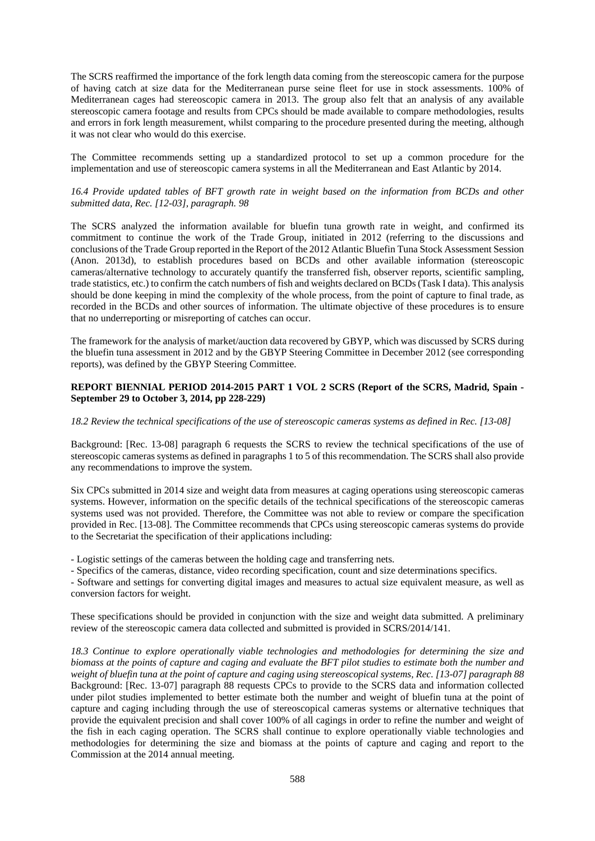The SCRS reaffirmed the importance of the fork length data coming from the stereoscopic camera for the purpose of having catch at size data for the Mediterranean purse seine fleet for use in stock assessments. 100% of Mediterranean cages had stereoscopic camera in 2013. The group also felt that an analysis of any available stereoscopic camera footage and results from CPCs should be made available to compare methodologies, results and errors in fork length measurement, whilst comparing to the procedure presented during the meeting, although it was not clear who would do this exercise.

The Committee recommends setting up a standardized protocol to set up a common procedure for the implementation and use of stereoscopic camera systems in all the Mediterranean and East Atlantic by 2014.

# *16.4 Provide updated tables of BFT growth rate in weight based on the information from BCDs and other submitted data, Rec. [12-03], paragraph. 98*

The SCRS analyzed the information available for bluefin tuna growth rate in weight, and confirmed its commitment to continue the work of the Trade Group, initiated in 2012 (referring to the discussions and conclusions of the Trade Group reported in the Report of the 2012 Atlantic Bluefin Tuna Stock Assessment Session (Anon. 2013d), to establish procedures based on BCDs and other available information (stereoscopic cameras/alternative technology to accurately quantify the transferred fish, observer reports, scientific sampling, trade statistics, etc.) to confirm the catch numbers of fish and weights declared on BCDs (Task I data). This analysis should be done keeping in mind the complexity of the whole process, from the point of capture to final trade, as recorded in the BCDs and other sources of information. The ultimate objective of these procedures is to ensure that no underreporting or misreporting of catches can occur.

The framework for the analysis of market/auction data recovered by GBYP, which was discussed by SCRS during the bluefin tuna assessment in 2012 and by the GBYP Steering Committee in December 2012 (see corresponding reports), was defined by the GBYP Steering Committee.

# **REPORT BIENNIAL PERIOD 2014-2015 PART 1 VOL 2 SCRS (Report of the SCRS, Madrid, Spain - September 29 to October 3, 2014, pp 228-229)**

# *18.2 Review the technical specifications of the use of stereoscopic cameras systems as defined in Rec. [13-08]*

Background: [Rec. 13-08] paragraph 6 requests the SCRS to review the technical specifications of the use of stereoscopic cameras systems as defined in paragraphs 1 to 5 of this recommendation. The SCRS shall also provide any recommendations to improve the system.

Six CPCs submitted in 2014 size and weight data from measures at caging operations using stereoscopic cameras systems. However, information on the specific details of the technical specifications of the stereoscopic cameras systems used was not provided. Therefore, the Committee was not able to review or compare the specification provided in Rec. [13-08]. The Committee recommends that CPCs using stereoscopic cameras systems do provide to the Secretariat the specification of their applications including:

- Logistic settings of the cameras between the holding cage and transferring nets.

- Specifics of the cameras, distance, video recording specification, count and size determinations specifics.

- Software and settings for converting digital images and measures to actual size equivalent measure, as well as conversion factors for weight.

These specifications should be provided in conjunction with the size and weight data submitted. A preliminary review of the stereoscopic camera data collected and submitted is provided in SCRS/2014/141.

*18.3 Continue to explore operationally viable technologies and methodologies for determining the size and biomass at the points of capture and caging and evaluate the BFT pilot studies to estimate both the number and weight of bluefin tuna at the point of capture and caging using stereoscopical systems, Rec. [13-07] paragraph 88* Background: [Rec. 13-07] paragraph 88 requests CPCs to provide to the SCRS data and information collected under pilot studies implemented to better estimate both the number and weight of bluefin tuna at the point of capture and caging including through the use of stereoscopical cameras systems or alternative techniques that provide the equivalent precision and shall cover 100% of all cagings in order to refine the number and weight of the fish in each caging operation. The SCRS shall continue to explore operationally viable technologies and methodologies for determining the size and biomass at the points of capture and caging and report to the Commission at the 2014 annual meeting.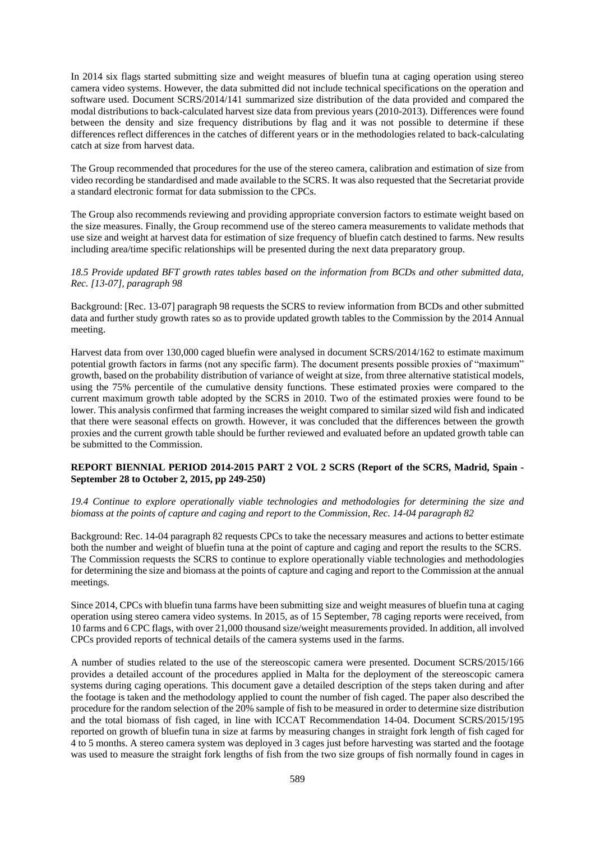In 2014 six flags started submitting size and weight measures of bluefin tuna at caging operation using stereo camera video systems. However, the data submitted did not include technical specifications on the operation and software used. Document SCRS/2014/141 summarized size distribution of the data provided and compared the modal distributions to back-calculated harvest size data from previous years (2010-2013). Differences were found between the density and size frequency distributions by flag and it was not possible to determine if these differences reflect differences in the catches of different years or in the methodologies related to back-calculating catch at size from harvest data.

The Group recommended that procedures for the use of the stereo camera, calibration and estimation of size from video recording be standardised and made available to the SCRS. It was also requested that the Secretariat provide a standard electronic format for data submission to the CPCs.

The Group also recommends reviewing and providing appropriate conversion factors to estimate weight based on the size measures. Finally, the Group recommend use of the stereo camera measurements to validate methods that use size and weight at harvest data for estimation of size frequency of bluefin catch destined to farms. New results including area/time specific relationships will be presented during the next data preparatory group.

### *18.5 Provide updated BFT growth rates tables based on the information from BCDs and other submitted data, Rec. [13-07], paragraph 98*

Background: [Rec. 13-07] paragraph 98 requests the SCRS to review information from BCDs and other submitted data and further study growth rates so as to provide updated growth tables to the Commission by the 2014 Annual meeting.

Harvest data from over 130,000 caged bluefin were analysed in document SCRS/2014/162 to estimate maximum potential growth factors in farms (not any specific farm). The document presents possible proxies of "maximum" growth, based on the probability distribution of variance of weight at size, from three alternative statistical models, using the 75% percentile of the cumulative density functions. These estimated proxies were compared to the current maximum growth table adopted by the SCRS in 2010. Two of the estimated proxies were found to be lower. This analysis confirmed that farming increases the weight compared to similar sized wild fish and indicated that there were seasonal effects on growth. However, it was concluded that the differences between the growth proxies and the current growth table should be further reviewed and evaluated before an updated growth table can be submitted to the Commission.

# **REPORT BIENNIAL PERIOD 2014-2015 PART 2 VOL 2 SCRS (Report of the SCRS, Madrid, Spain - September 28 to October 2, 2015, pp 249-250)**

*19.4 Continue to explore operationally viable technologies and methodologies for determining the size and biomass at the points of capture and caging and report to the Commission, Rec. 14-04 paragraph 82*

Background: Rec. 14-04 paragraph 82 requests CPCs to take the necessary measures and actions to better estimate both the number and weight of bluefin tuna at the point of capture and caging and report the results to the SCRS. The Commission requests the SCRS to continue to explore operationally viable technologies and methodologies for determining the size and biomass at the points of capture and caging and report to the Commission at the annual meetings.

Since 2014, CPCs with bluefin tuna farms have been submitting size and weight measures of bluefin tuna at caging operation using stereo camera video systems. In 2015, as of 15 September, 78 caging reports were received, from 10 farms and 6 CPC flags, with over 21,000 thousand size/weight measurements provided. In addition, all involved CPCs provided reports of technical details of the camera systems used in the farms.

A number of studies related to the use of the stereoscopic camera were presented. Document SCRS/2015/166 provides a detailed account of the procedures applied in Malta for the deployment of the stereoscopic camera systems during caging operations. This document gave a detailed description of the steps taken during and after the footage is taken and the methodology applied to count the number of fish caged. The paper also described the procedure for the random selection of the 20% sample of fish to be measured in order to determine size distribution and the total biomass of fish caged, in line with ICCAT Recommendation 14-04. Document SCRS/2015/195 reported on growth of bluefin tuna in size at farms by measuring changes in straight fork length of fish caged for 4 to 5 months. A stereo camera system was deployed in 3 cages just before harvesting was started and the footage was used to measure the straight fork lengths of fish from the two size groups of fish normally found in cages in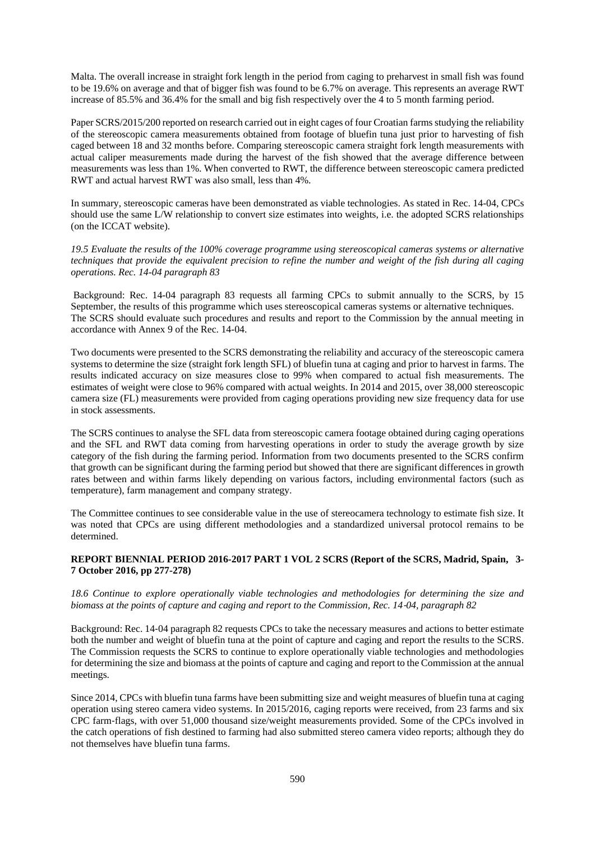Malta. The overall increase in straight fork length in the period from caging to preharvest in small fish was found to be 19.6% on average and that of bigger fish was found to be 6.7% on average. This represents an average RWT increase of 85.5% and 36.4% for the small and big fish respectively over the 4 to 5 month farming period.

Paper SCRS/2015/200 reported on research carried out in eight cages of four Croatian farms studying the reliability of the stereoscopic camera measurements obtained from footage of bluefin tuna just prior to harvesting of fish caged between 18 and 32 months before. Comparing stereoscopic camera straight fork length measurements with actual caliper measurements made during the harvest of the fish showed that the average difference between measurements was less than 1%. When converted to RWT, the difference between stereoscopic camera predicted RWT and actual harvest RWT was also small, less than 4%.

In summary, stereoscopic cameras have been demonstrated as viable technologies. As stated in Rec. 14-04, CPCs should use the same L/W relationship to convert size estimates into weights, i.e. the adopted SCRS relationships (on the ICCAT website).

*19.5 Evaluate the results of the 100% coverage programme using stereoscopical cameras systems or alternative techniques that provide the equivalent precision to refine the number and weight of the fish during all caging operations. Rec. 14-04 paragraph 83*

Background: Rec. 14-04 paragraph 83 requests all farming CPCs to submit annually to the SCRS, by 15 September, the results of this programme which uses stereoscopical cameras systems or alternative techniques. The SCRS should evaluate such procedures and results and report to the Commission by the annual meeting in accordance with Annex 9 of the Rec. 14-04.

Two documents were presented to the SCRS demonstrating the reliability and accuracy of the stereoscopic camera systems to determine the size (straight fork length SFL) of bluefin tuna at caging and prior to harvest in farms. The results indicated accuracy on size measures close to 99% when compared to actual fish measurements. The estimates of weight were close to 96% compared with actual weights. In 2014 and 2015, over 38,000 stereoscopic camera size (FL) measurements were provided from caging operations providing new size frequency data for use in stock assessments.

The SCRS continues to analyse the SFL data from stereoscopic camera footage obtained during caging operations and the SFL and RWT data coming from harvesting operations in order to study the average growth by size category of the fish during the farming period. Information from two documents presented to the SCRS confirm that growth can be significant during the farming period but showed that there are significant differences in growth rates between and within farms likely depending on various factors, including environmental factors (such as temperature), farm management and company strategy.

The Committee continues to see considerable value in the use of stereocamera technology to estimate fish size. It was noted that CPCs are using different methodologies and a standardized universal protocol remains to be determined.

# **REPORT BIENNIAL PERIOD 2016-2017 PART 1 VOL 2 SCRS (Report of the SCRS, Madrid, Spain, 3- 7 October 2016, pp 277-278)**

*18.6 Continue to explore operationally viable technologies and methodologies for determining the size and biomass at the points of capture and caging and report to the Commission, Rec. 14*‐*04, paragraph 82* 

Background: Rec. 14‐04 paragraph 82 requests CPCs to take the necessary measures and actions to better estimate both the number and weight of bluefin tuna at the point of capture and caging and report the results to the SCRS. The Commission requests the SCRS to continue to explore operationally viable technologies and methodologies for determining the size and biomass at the points of capture and caging and report to the Commission at the annual meetings.

Since 2014, CPCs with bluefin tuna farms have been submitting size and weight measures of bluefin tuna at caging operation using stereo camera video systems. In 2015/2016, caging reports were received, from 23 farms and six CPC farm‐flags, with over 51,000 thousand size/weight measurements provided. Some of the CPCs involved in the catch operations of fish destined to farming had also submitted stereo camera video reports; although they do not themselves have bluefin tuna farms.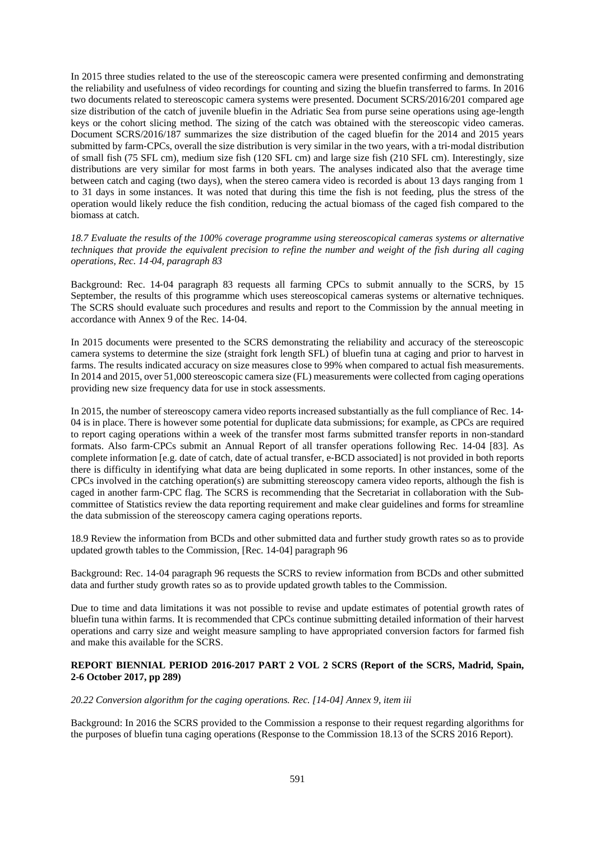In 2015 three studies related to the use of the stereoscopic camera were presented confirming and demonstrating the reliability and usefulness of video recordings for counting and sizing the bluefin transferred to farms. In 2016 two documents related to stereoscopic camera systems were presented. Document SCRS/2016/201 compared age size distribution of the catch of juvenile bluefin in the Adriatic Sea from purse seine operations using age-length keys or the cohort slicing method. The sizing of the catch was obtained with the stereoscopic video cameras. Document SCRS/2016/187 summarizes the size distribution of the caged bluefin for the 2014 and 2015 years submitted by farm‐CPCs, overall the size distribution is very similar in the two years, with a tri‐modal distribution of small fish (75 SFL cm), medium size fish (120 SFL cm) and large size fish (210 SFL cm). Interestingly, size distributions are very similar for most farms in both years. The analyses indicated also that the average time between catch and caging (two days), when the stereo camera video is recorded is about 13 days ranging from 1 to 31 days in some instances. It was noted that during this time the fish is not feeding, plus the stress of the operation would likely reduce the fish condition, reducing the actual biomass of the caged fish compared to the biomass at catch.

*18.7 Evaluate the results of the 100% coverage programme using stereoscopical cameras systems or alternative techniques that provide the equivalent precision to refine the number and weight of the fish during all caging operations, Rec. 14*‐*04, paragraph 83*

Background: Rec. 14‐04 paragraph 83 requests all farming CPCs to submit annually to the SCRS, by 15 September, the results of this programme which uses stereoscopical cameras systems or alternative techniques. The SCRS should evaluate such procedures and results and report to the Commission by the annual meeting in accordance with Annex 9 of the Rec. 14‐04.

In 2015 documents were presented to the SCRS demonstrating the reliability and accuracy of the stereoscopic camera systems to determine the size (straight fork length SFL) of bluefin tuna at caging and prior to harvest in farms. The results indicated accuracy on size measures close to 99% when compared to actual fish measurements. In 2014 and 2015, over 51,000 stereoscopic camera size (FL) measurements were collected from caging operations providing new size frequency data for use in stock assessments.

In 2015, the number of stereoscopy camera video reports increased substantially as the full compliance of Rec. 14‐ 04 is in place. There is however some potential for duplicate data submissions; for example, as CPCs are required to report caging operations within a week of the transfer most farms submitted transfer reports in non‐standard formats. Also farm‐CPCs submit an Annual Report of all transfer operations following Rec. 14‐04 [83]. As complete information [e.g. date of catch, date of actual transfer, e‐BCD associated] is not provided in both reports there is difficulty in identifying what data are being duplicated in some reports. In other instances, some of the CPCs involved in the catching operation(s) are submitting stereoscopy camera video reports, although the fish is caged in another farm-CPC flag. The SCRS is recommending that the Secretariat in collaboration with the Subcommittee of Statistics review the data reporting requirement and make clear guidelines and forms for streamline the data submission of the stereoscopy camera caging operations reports.

18.9 Review the information from BCDs and other submitted data and further study growth rates so as to provide updated growth tables to the Commission, [Rec. 14‐04] paragraph 96

Background: Rec. 14‐04 paragraph 96 requests the SCRS to review information from BCDs and other submitted data and further study growth rates so as to provide updated growth tables to the Commission.

Due to time and data limitations it was not possible to revise and update estimates of potential growth rates of bluefin tuna within farms. It is recommended that CPCs continue submitting detailed information of their harvest operations and carry size and weight measure sampling to have appropriated conversion factors for farmed fish and make this available for the SCRS.

# **REPORT BIENNIAL PERIOD 2016-2017 PART 2 VOL 2 SCRS (Report of the SCRS, Madrid, Spain, 2-6 October 2017, pp 289)**

*20.22 Conversion algorithm for the caging operations. Rec. [14-04] Annex 9, item iii* 

Background: In 2016 the SCRS provided to the Commission a response to their request regarding algorithms for the purposes of bluefin tuna caging operations (Response to the Commission 18.13 of the SCRS 2016 Report).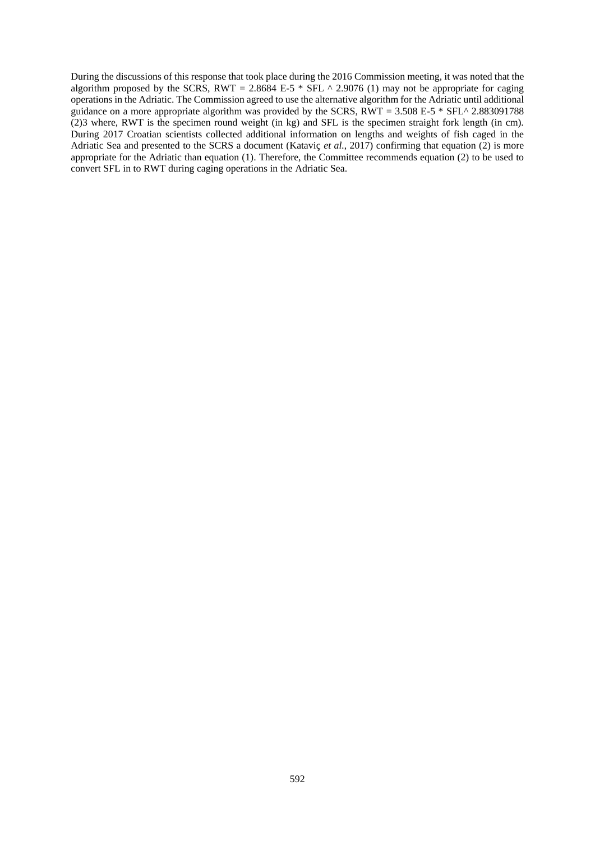During the discussions of this response that took place during the 2016 Commission meeting, it was noted that the algorithm proposed by the SCRS, RWT = 2.8684 E-5  $*$  SFL  $\land$  2.9076 (1) may not be appropriate for caging operations in the Adriatic. The Commission agreed to use the alternative algorithm for the Adriatic until additional guidance on a more appropriate algorithm was provided by the SCRS,  $\overline{RWT} = 3.508$  E-5  $*$  SFL^ 2.883091788 (2)3 where, RWT is the specimen round weight (in kg) and SFL is the specimen straight fork length (in cm). During 2017 Croatian scientists collected additional information on lengths and weights of fish caged in the Adriatic Sea and presented to the SCRS a document (Kataviç *et al.*, 2017) confirming that equation (2) is more appropriate for the Adriatic than equation (1). Therefore, the Committee recommends equation (2) to be used to convert SFL in to RWT during caging operations in the Adriatic Sea.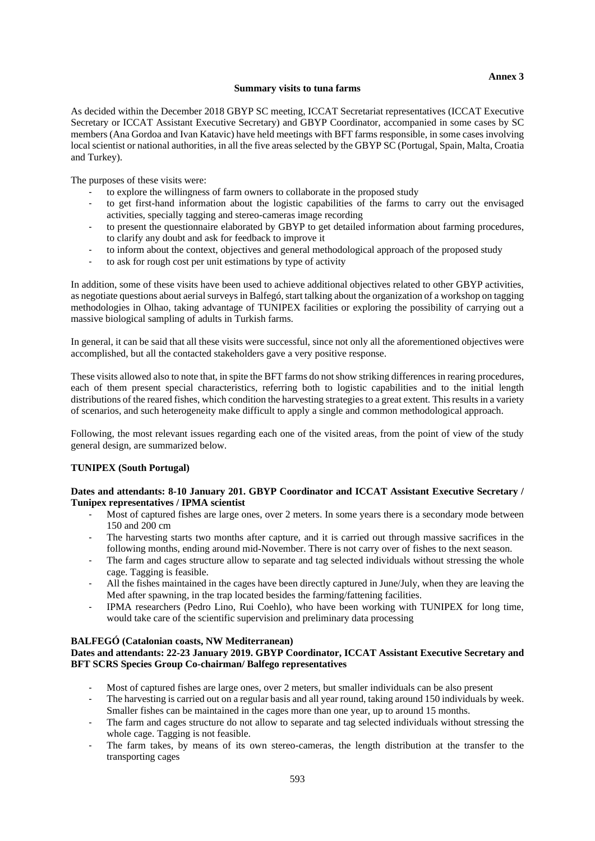### **Annex 3**

#### **Summary visits to tuna farms**

As decided within the December 2018 GBYP SC meeting, ICCAT Secretariat representatives (ICCAT Executive Secretary or ICCAT Assistant Executive Secretary) and GBYP Coordinator, accompanied in some cases by SC members (Ana Gordoa and Ivan Katavic) have held meetings with BFT farms responsible, in some cases involving local scientist or national authorities, in all the five areas selected by the GBYP SC (Portugal, Spain, Malta, Croatia and Turkey).

The purposes of these visits were:

- to explore the willingness of farm owners to collaborate in the proposed study<br>to get first-hand information about the logistic capabilities of the farms to
- to get first-hand information about the logistic capabilities of the farms to carry out the envisaged activities, specially tagging and stereo-cameras image recording
- to present the questionnaire elaborated by GBYP to get detailed information about farming procedures, to clarify any doubt and ask for feedback to improve it
- to inform about the context, objectives and general methodological approach of the proposed study
- to ask for rough cost per unit estimations by type of activity

In addition, some of these visits have been used to achieve additional objectives related to other GBYP activities, as negotiate questions about aerial surveys in Balfegó, start talking about the organization of a workshop on tagging methodologies in Olhao, taking advantage of TUNIPEX facilities or exploring the possibility of carrying out a massive biological sampling of adults in Turkish farms.

In general, it can be said that all these visits were successful, since not only all the aforementioned objectives were accomplished, but all the contacted stakeholders gave a very positive response.

These visits allowed also to note that, in spite the BFT farms do not show striking differences in rearing procedures, each of them present special characteristics, referring both to logistic capabilities and to the initial length distributions of the reared fishes, which condition the harvesting strategies to a great extent. This results in a variety of scenarios, and such heterogeneity make difficult to apply a single and common methodological approach.

Following, the most relevant issues regarding each one of the visited areas, from the point of view of the study general design, are summarized below.

# **TUNIPEX (South Portugal)**

# **Dates and attendants: 8-10 January 201. GBYP Coordinator and ICCAT Assistant Executive Secretary / Tunipex representatives / IPMA scientist**

- Most of captured fishes are large ones, over 2 meters. In some years there is a secondary mode between 150 and 200 cm
- The harvesting starts two months after capture, and it is carried out through massive sacrifices in the following months, ending around mid-November. There is not carry over of fishes to the next season.
- The farm and cages structure allow to separate and tag selected individuals without stressing the whole cage. Tagging is feasible.
- All the fishes maintained in the cages have been directly captured in June/July, when they are leaving the Med after spawning, in the trap located besides the farming/fattening facilities.
- IPMA researchers (Pedro Lino, Rui Coehlo), who have been working with TUNIPEX for long time, would take care of the scientific supervision and preliminary data processing

#### **BALFEGÓ (Catalonian coasts, NW Mediterranean)**

## **Dates and attendants: 22-23 January 2019. GBYP Coordinator, ICCAT Assistant Executive Secretary and BFT SCRS Species Group Co-chairman/ Balfego representatives**

- Most of captured fishes are large ones, over 2 meters, but smaller individuals can be also present
- The harvesting is carried out on a regular basis and all year round, taking around 150 individuals by week. Smaller fishes can be maintained in the cages more than one year, up to around 15 months.
- The farm and cages structure do not allow to separate and tag selected individuals without stressing the whole cage. Tagging is not feasible.
- The farm takes, by means of its own stereo-cameras, the length distribution at the transfer to the transporting cages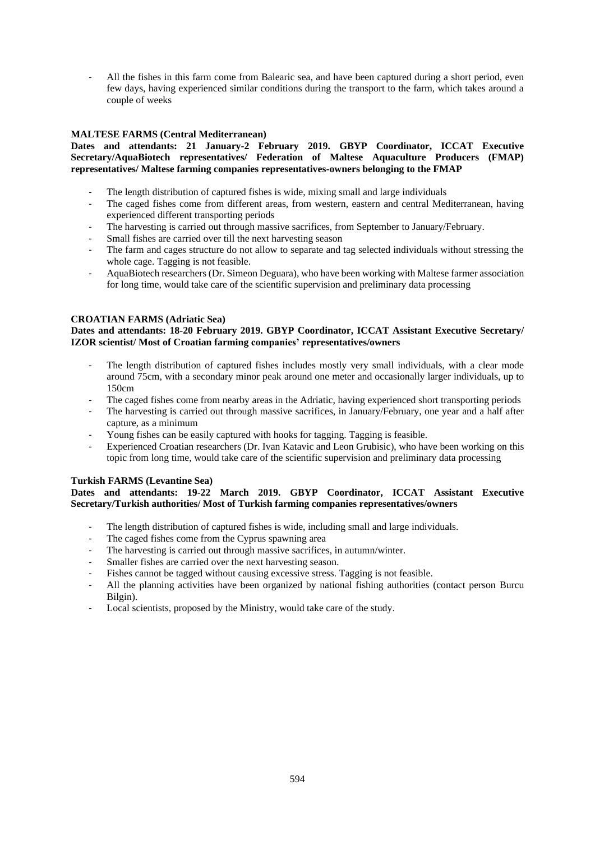- All the fishes in this farm come from Balearic sea, and have been captured during a short period, even few days, having experienced similar conditions during the transport to the farm, which takes around a couple of weeks

# **MALTESE FARMS (Central Mediterranean)**

# **Dates and attendants: 21 January-2 February 2019. GBYP Coordinator, ICCAT Executive Secretary/AquaBiotech representatives/ Federation of Maltese Aquaculture Producers (FMAP) representatives/ Maltese farming companies representatives-owners belonging to the FMAP**

- The length distribution of captured fishes is wide, mixing small and large individuals
- The caged fishes come from different areas, from western, eastern and central Mediterranean, having experienced different transporting periods
- The harvesting is carried out through massive sacrifices, from September to January/February.
- Small fishes are carried over till the next harvesting season
- The farm and cages structure do not allow to separate and tag selected individuals without stressing the whole cage. Tagging is not feasible.
- AquaBiotech researchers (Dr. Simeon Deguara), who have been working with Maltese farmer association for long time, would take care of the scientific supervision and preliminary data processing

# **CROATIAN FARMS (Adriatic Sea)**

# **Dates and attendants: 18-20 February 2019. GBYP Coordinator, ICCAT Assistant Executive Secretary/ IZOR scientist/ Most of Croatian farming companies' representatives/owners**

- The length distribution of captured fishes includes mostly very small individuals, with a clear mode around 75cm, with a secondary minor peak around one meter and occasionally larger individuals, up to 150cm
- The caged fishes come from nearby areas in the Adriatic, having experienced short transporting periods
- The harvesting is carried out through massive sacrifices, in January/February, one year and a half after capture, as a minimum
- Young fishes can be easily captured with hooks for tagging. Tagging is feasible.
- Experienced Croatian researchers (Dr. Ivan Katavic and Leon Grubisic), who have been working on this topic from long time, would take care of the scientific supervision and preliminary data processing

# **Turkish FARMS (Levantine Sea)**

# **Dates and attendants: 19-22 March 2019. GBYP Coordinator, ICCAT Assistant Executive Secretary/Turkish authorities/ Most of Turkish farming companies representatives/owners**

- The length distribution of captured fishes is wide, including small and large individuals.
- The caged fishes come from the Cyprus spawning area
- The harvesting is carried out through massive sacrifices, in autumn/winter.
- Smaller fishes are carried over the next harvesting season.
- Fishes cannot be tagged without causing excessive stress. Tagging is not feasible.
- All the planning activities have been organized by national fishing authorities (contact person Burcu Bilgin).
- Local scientists, proposed by the Ministry, would take care of the study.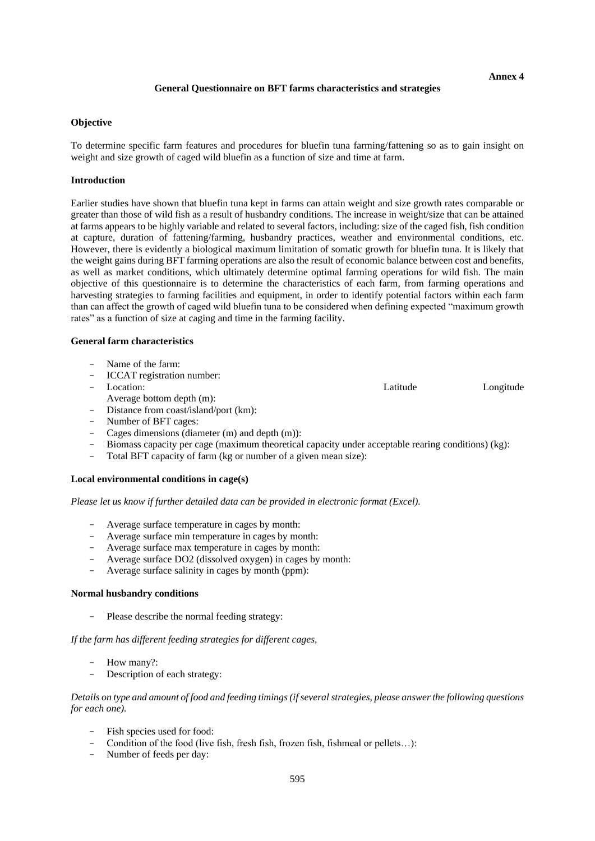#### **General Questionnaire on BFT farms characteristics and strategies**

#### **Objective**

To determine specific farm features and procedures for bluefin tuna farming/fattening so as to gain insight on weight and size growth of caged wild bluefin as a function of size and time at farm.

## **Introduction**

Earlier studies have shown that bluefin tuna kept in farms can attain weight and size growth rates comparable or greater than those of wild fish as a result of husbandry conditions. The increase in weight/size that can be attained at farms appears to be highly variable and related to several factors, including: size of the caged fish, fish condition at capture, duration of fattening/farming, husbandry practices, weather and environmental conditions, etc. However, there is evidently a biological maximum limitation of somatic growth for bluefin tuna. It is likely that the weight gains during BFT farming operations are also the result of economic balance between cost and benefits, as well as market conditions, which ultimately determine optimal farming operations for wild fish. The main objective of this questionnaire is to determine the characteristics of each farm, from farming operations and harvesting strategies to farming facilities and equipment, in order to identify potential factors within each farm than can affect the growth of caged wild bluefin tuna to be considered when defining expected "maximum growth rates" as a function of size at caging and time in the farming facility.

### **General farm characteristics**

- Name of the farm:
- ICCAT registration number:
- Location: Latitude Longitude Longitude Longitude Longitude Longitude Longitude Longitude
- Average bottom depth (m):
- Average bottom depth (m):<br>- Distance from coast/island/port (km):
- Number of BFT cages:
- Cages dimensions (diameter (m) and depth (m)):
- Biomass capacity per cage (maximum theoretical capacity under acceptable rearing conditions) (kg):
- Total BFT capacity of farm (kg or number of a given mean size):

#### **Local environmental conditions in cage(s)**

#### *Please let us know if further detailed data can be provided in electronic format (Excel).*

- Average surface temperature in cages by month:
- Average surface min temperature in cages by month:
- Average surface max temperature in cages by month:
- Average surface DO2 (dissolved oxygen) in cages by month:
- Average surface salinity in cages by month (ppm):

#### **Normal husbandry conditions**

- Please describe the normal feeding strategy:

#### *If the farm has different feeding strategies for different cages,*

- How many?:
- Description of each strategy:

*Details on type and amount of food and feeding timings (if several strategies, please answer the following questions for each one).*

- Fish species used for food:
- Condition of the food (live fish, fresh fish, frozen fish, fishmeal or pellets…):
- Number of feeds per day:

**Annex 4**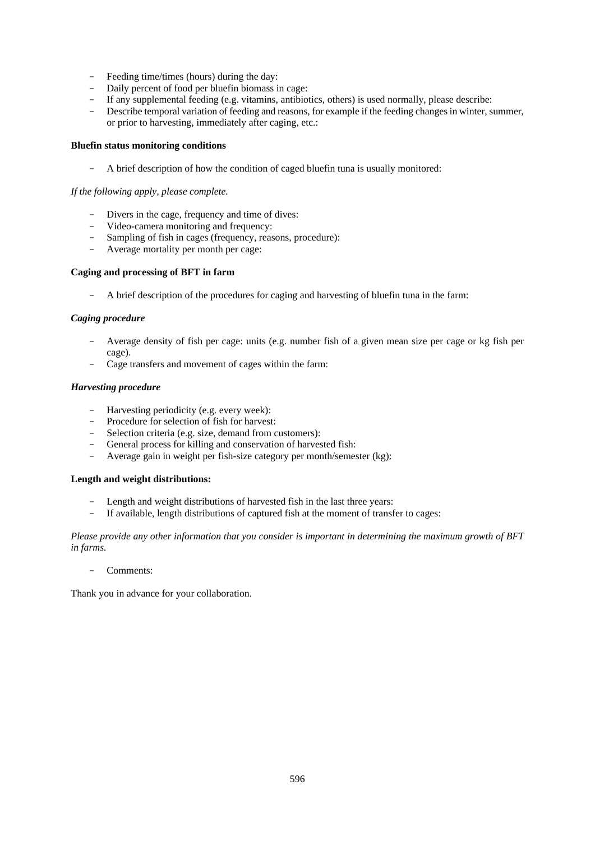- Feeding time/times (hours) during the day:
- Daily percent of food per bluefin biomass in cage:
- If any supplemental feeding (e.g. vitamins, antibiotics, others) is used normally, please describe:
- Describe temporal variation of feeding and reasons, for example if the feeding changes in winter, summer, or prior to harvesting, immediately after caging, etc.:

#### **Bluefin status monitoring conditions**

- A brief description of how the condition of caged bluefin tuna is usually monitored:

# *If the following apply, please complete.*

- Divers in the cage, frequency and time of dives:
- Video-camera monitoring and frequency:
- Sampling of fish in cages (frequency, reasons, procedure):
- Average mortality per month per cage:

### **Caging and processing of BFT in farm**

- A brief description of the procedures for caging and harvesting of bluefin tuna in the farm:

### *Caging procedure*

- Average density of fish per cage: units (e.g. number fish of a given mean size per cage or kg fish per cage).
- Cage transfers and movement of cages within the farm:

### *Harvesting procedure*

- Harvesting periodicity (e.g. every week):
- Procedure for selection of fish for harvest:
- Selection criteria (e.g. size, demand from customers):
- General process for killing and conservation of harvested fish:
- Average gain in weight per fish-size category per month/semester (kg):

# **Length and weight distributions:**

- Length and weight distributions of harvested fish in the last three years:
- If available, length distributions of captured fish at the moment of transfer to cages:

*Please provide any other information that you consider is important in determining the maximum growth of BFT in farms.*

#### - Comments:

Thank you in advance for your collaboration.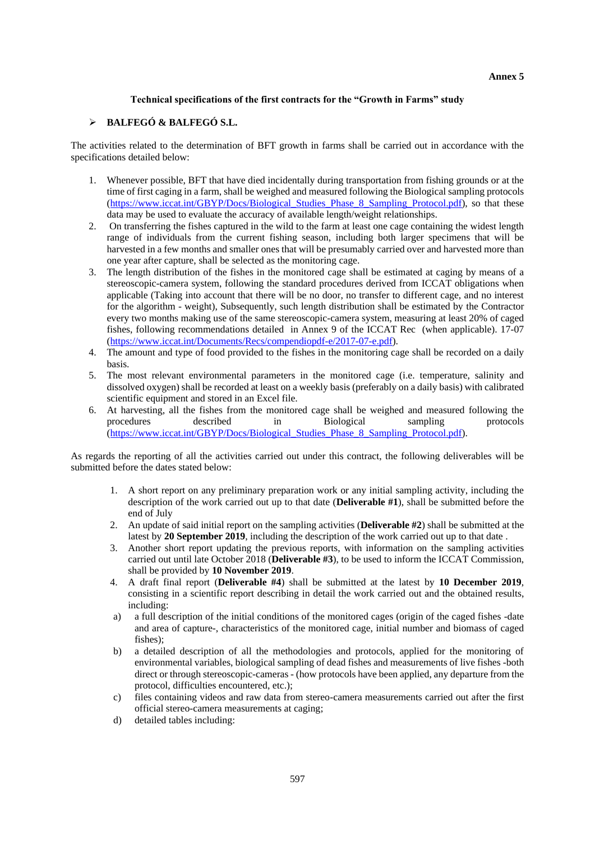### **Technical specifications of the first contracts for the "Growth in Farms" study**

# ➢ **BALFEGÓ & BALFEGÓ S.L.**

The activities related to the determination of BFT growth in farms shall be carried out in accordance with the specifications detailed below:

- 1. Whenever possible, BFT that have died incidentally during transportation from fishing grounds or at the time of first caging in a farm, shall be weighed and measured following the Biological sampling protocols [\(https://www.iccat.int/GBYP/Docs/Biological\\_Studies\\_Phase\\_8\\_Sampling\\_Protocol.pdf\)](https://www.iccat.int/GBYP/Docs/Biological_Studies_Phase_8_Sampling_Protocol.pdf), so that these data may be used to evaluate the accuracy of available length/weight relationships.
- 2. On transferring the fishes captured in the wild to the farm at least one cage containing the widest length range of individuals from the current fishing season, including both larger specimens that will be harvested in a few months and smaller ones that will be presumably carried over and harvested more than one year after capture, shall be selected as the monitoring cage.
- 3. The length distribution of the fishes in the monitored cage shall be estimated at caging by means of a stereoscopic-camera system, following the standard procedures derived from ICCAT obligations when applicable (Taking into account that there will be no door, no transfer to different cage, and no interest for the algorithm - weight), Subsequently, such length distribution shall be estimated by the Contractor every two months making use of the same stereoscopic-camera system, measuring at least 20% of caged fishes, following recommendations detailed in Annex 9 of the ICCAT Rec (when applicable). 17-07 [\(https://www.iccat.int/Documents/Recs/compendiopdf-e/2017-07-e.pdf\)](https://www.iccat.int/Documents/Recs/compendiopdf-e/2017-07-e.pdf).
- 4. The amount and type of food provided to the fishes in the monitoring cage shall be recorded on a daily basis.
- 5. The most relevant environmental parameters in the monitored cage (i.e. temperature, salinity and dissolved oxygen) shall be recorded at least on a weekly basis (preferably on a daily basis) with calibrated scientific equipment and stored in an Excel file.
- 6. At harvesting, all the fishes from the monitored cage shall be weighed and measured following the procedures described in Biological sampling protocols [\(https://www.iccat.int/GBYP/Docs/Biological\\_Studies\\_Phase\\_8\\_Sampling\\_Protocol.pdf\)](https://www.iccat.int/GBYP/Docs/Biological_Studies_Phase_8_Sampling_Protocol.pdf).

As regards the reporting of all the activities carried out under this contract, the following deliverables will be submitted before the dates stated below:

- 1. A short report on any preliminary preparation work or any initial sampling activity, including the description of the work carried out up to that date (**Deliverable #1**), shall be submitted before the end of July
- 2. An update of said initial report on the sampling activities (**Deliverable #2**) shall be submitted at the latest by **20 September 2019**, including the description of the work carried out up to that date .
- 3. Another short report updating the previous reports, with information on the sampling activities carried out until late October 2018 (**Deliverable #3**), to be used to inform the ICCAT Commission, shall be provided by **10 November 2019**.
- 4. A draft final report (**Deliverable #4**) shall be submitted at the latest by **10 December 2019**, consisting in a scientific report describing in detail the work carried out and the obtained results, including:
- a) a full description of the initial conditions of the monitored cages (origin of the caged fishes -date and area of capture-, characteristics of the monitored cage, initial number and biomass of caged fishes);
- b) a detailed description of all the methodologies and protocols, applied for the monitoring of environmental variables, biological sampling of dead fishes and measurements of live fishes -both direct or through stereoscopic-cameras - (how protocols have been applied, any departure from the protocol, difficulties encountered, etc.);
- c) files containing videos and raw data from stereo-camera measurements carried out after the first official stereo-camera measurements at caging;
- d) detailed tables including: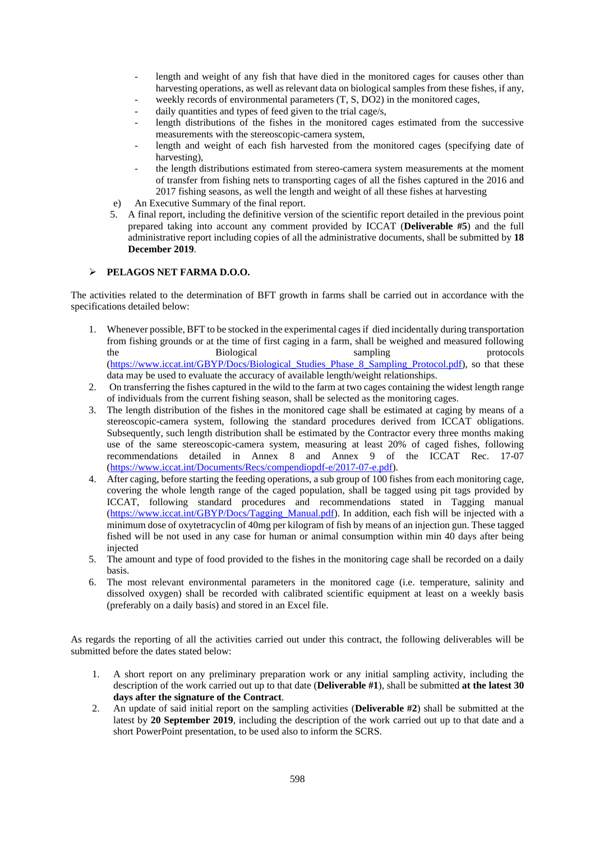- length and weight of any fish that have died in the monitored cages for causes other than harvesting operations, as well as relevant data on biological samples from these fishes, if any,
- weekly records of environmental parameters  $(T, S, DO2)$  in the monitored cages,
- daily quantities and types of feed given to the trial cage/s,
- length distributions of the fishes in the monitored cages estimated from the successive measurements with the stereoscopic-camera system,
- length and weight of each fish harvested from the monitored cages (specifying date of harvesting),
- the length distributions estimated from stereo-camera system measurements at the moment of transfer from fishing nets to transporting cages of all the fishes captured in the 2016 and 2017 fishing seasons, as well the length and weight of all these fishes at harvesting
- e) An Executive Summary of the final report.
- 5. A final report, including the definitive version of the scientific report detailed in the previous point prepared taking into account any comment provided by ICCAT (**Deliverable #5**) and the full administrative report including copies of all the administrative documents, shall be submitted by **18 December 2019**.

# ➢ **PELAGOS NET FARMA D.O.O.**

The activities related to the determination of BFT growth in farms shall be carried out in accordance with the specifications detailed below:

- 1. Whenever possible, BFT to be stocked in the experimental cages if died incidentally during transportation from fishing grounds or at the time of first caging in a farm, shall be weighed and measured following the Biological sampling protocols by the Biological sampling protocols and  $\mathbb{R}^n$  sampling protocols [\(https://www.iccat.int/GBYP/Docs/Biological\\_Studies\\_Phase\\_8\\_Sampling\\_Protocol.pdf\)](https://www.iccat.int/GBYP/Docs/Biological_Studies_Phase_8_Sampling_Protocol.pdf), so that these data may be used to evaluate the accuracy of available length/weight relationships.
- 2. On transferring the fishes captured in the wild to the farm at two cages containing the widest length range of individuals from the current fishing season, shall be selected as the monitoring cages.
- 3. The length distribution of the fishes in the monitored cage shall be estimated at caging by means of a stereoscopic-camera system, following the standard procedures derived from ICCAT obligations. Subsequently, such length distribution shall be estimated by the Contractor every three months making use of the same stereoscopic-camera system, measuring at least 20% of caged fishes, following recommendations detailed in Annex 8 and Annex 9 of the ICCAT Rec. 17-07 [\(https://www.iccat.int/Documents/Recs/compendiopdf-e/2017-07-e.pdf\)](https://www.iccat.int/Documents/Recs/compendiopdf-e/2017-07-e.pdf).
- 4. After caging, before starting the feeding operations, a sub group of 100 fishes from each monitoring cage, covering the whole length range of the caged population, shall be tagged using pit tags provided by ICCAT, following standard procedures and recommendations stated in Tagging manual [\(https://www.iccat.int/GBYP/Docs/Tagging\\_Manual.pdf\)](https://www.iccat.int/GBYP/Docs/Tagging_Manual.pdf). In addition, each fish will be injected with a minimum dose of oxytetracyclin of 40mg per kilogram of fish by means of an injection gun. These tagged fished will be not used in any case for human or animal consumption within min 40 days after being injected
- 5. The amount and type of food provided to the fishes in the monitoring cage shall be recorded on a daily basis.
- 6. The most relevant environmental parameters in the monitored cage (i.e. temperature, salinity and dissolved oxygen) shall be recorded with calibrated scientific equipment at least on a weekly basis (preferably on a daily basis) and stored in an Excel file.

As regards the reporting of all the activities carried out under this contract, the following deliverables will be submitted before the dates stated below:

- 1. A short report on any preliminary preparation work or any initial sampling activity, including the description of the work carried out up to that date (**Deliverable #1**), shall be submitted **at the latest 30 days after the signature of the Contract**.
- 2. An update of said initial report on the sampling activities (**Deliverable #2**) shall be submitted at the latest by **20 September 2019**, including the description of the work carried out up to that date and a short PowerPoint presentation, to be used also to inform the SCRS.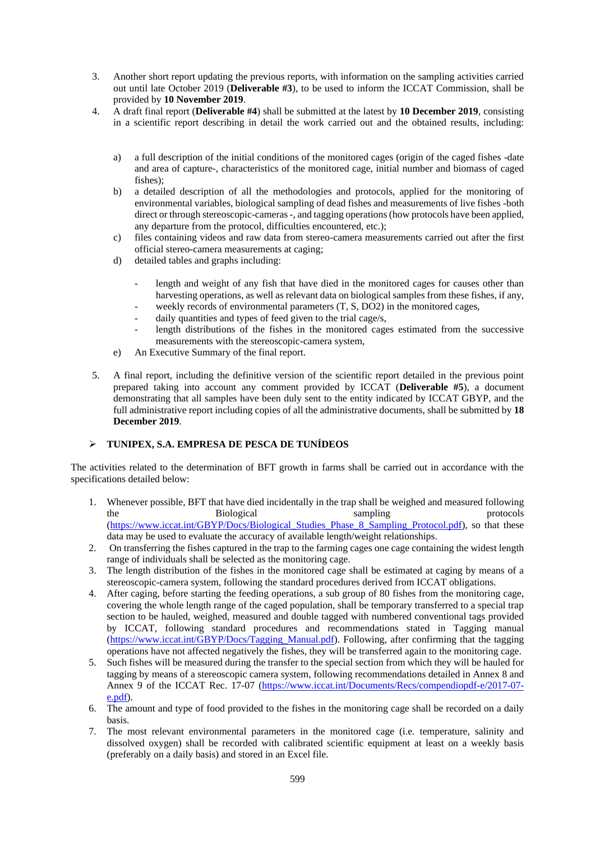- 3. Another short report updating the previous reports, with information on the sampling activities carried out until late October 2019 (**Deliverable #3**), to be used to inform the ICCAT Commission, shall be provided by **10 November 2019**.
- 4. A draft final report (**Deliverable #4**) shall be submitted at the latest by **10 December 2019**, consisting in a scientific report describing in detail the work carried out and the obtained results, including:
	- a) a full description of the initial conditions of the monitored cages (origin of the caged fishes -date and area of capture-, characteristics of the monitored cage, initial number and biomass of caged fishes);
	- b) a detailed description of all the methodologies and protocols, applied for the monitoring of environmental variables, biological sampling of dead fishes and measurements of live fishes -both direct or through stereoscopic-cameras -, and tagging operations (how protocols have been applied, any departure from the protocol, difficulties encountered, etc.);
	- c) files containing videos and raw data from stereo-camera measurements carried out after the first official stereo-camera measurements at caging;
	- d) detailed tables and graphs including:
		- length and weight of any fish that have died in the monitored cages for causes other than harvesting operations, as well as relevant data on biological samples from these fishes, if any,
		- weekly records of environmental parameters  $(T, S, DO2)$  in the monitored cages,
		- daily quantities and types of feed given to the trial cage/s,
		- length distributions of the fishes in the monitored cages estimated from the successive measurements with the stereoscopic-camera system,
	- e) An Executive Summary of the final report.
- 5. A final report, including the definitive version of the scientific report detailed in the previous point prepared taking into account any comment provided by ICCAT (**Deliverable #5**), a document demonstrating that all samples have been duly sent to the entity indicated by ICCAT GBYP, and the full administrative report including copies of all the administrative documents, shall be submitted by **18 December 2019**.

# ➢ **TUNIPEX, S.A. EMPRESA DE PESCA DE TUNÍDEOS**

The activities related to the determination of BFT growth in farms shall be carried out in accordance with the specifications detailed below:

- 1. Whenever possible, BFT that have died incidentally in the trap shall be weighed and measured following the Biological sampling protocols by the Biological sampling protocols and  $\mathbb{R}^n$  sampling protocols [\(https://www.iccat.int/GBYP/Docs/Biological\\_Studies\\_Phase\\_8\\_Sampling\\_Protocol.pdf\)](https://www.iccat.int/GBYP/Docs/Biological_Studies_Phase_8_Sampling_Protocol.pdf), so that these data may be used to evaluate the accuracy of available length/weight relationships.
- 2. On transferring the fishes captured in the trap to the farming cages one cage containing the widest length range of individuals shall be selected as the monitoring cage.
- 3. The length distribution of the fishes in the monitored cage shall be estimated at caging by means of a stereoscopic-camera system, following the standard procedures derived from ICCAT obligations.
- 4. After caging, before starting the feeding operations, a sub group of 80 fishes from the monitoring cage, covering the whole length range of the caged population, shall be temporary transferred to a special trap section to be hauled, weighed, measured and double tagged with numbered conventional tags provided by ICCAT, following standard procedures and recommendations stated in Tagging manual [\(https://www.iccat.int/GBYP/Docs/Tagging\\_Manual.pdf\)](https://www.iccat.int/GBYP/Docs/Tagging_Manual.pdf). Following, after confirming that the tagging operations have not affected negatively the fishes, they will be transferred again to the monitoring cage.
- 5. Such fishes will be measured during the transfer to the special section from which they will be hauled for tagging by means of a stereoscopic camera system, following recommendations detailed in Annex 8 and Annex 9 of the ICCAT Rec. 17-07 [\(https://www.iccat.int/Documents/Recs/compendiopdf-e/2017-07](https://www.iccat.int/Documents/Recs/compendiopdf-e/2017-07-e.pdf) [e.pdf\)](https://www.iccat.int/Documents/Recs/compendiopdf-e/2017-07-e.pdf).
- 6. The amount and type of food provided to the fishes in the monitoring cage shall be recorded on a daily basis.
- 7. The most relevant environmental parameters in the monitored cage (i.e. temperature, salinity and dissolved oxygen) shall be recorded with calibrated scientific equipment at least on a weekly basis (preferably on a daily basis) and stored in an Excel file.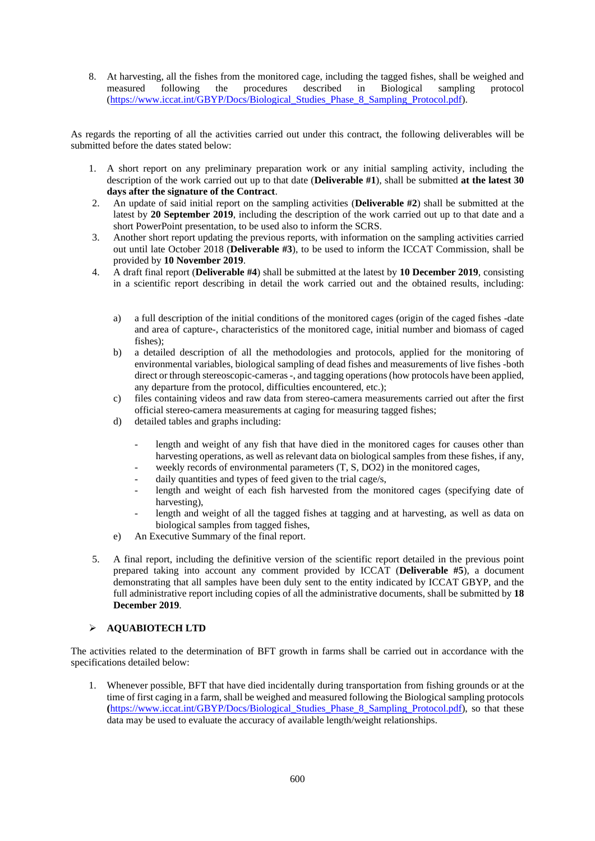8. At harvesting, all the fishes from the monitored cage, including the tagged fishes, shall be weighed and measured following the procedures described in Biological sampling protocol [\(https://www.iccat.int/GBYP/Docs/Biological\\_Studies\\_Phase\\_8\\_Sampling\\_Protocol.pdf\)](https://www.iccat.int/GBYP/Docs/Biological_Studies_Phase_8_Sampling_Protocol.pdf).

As regards the reporting of all the activities carried out under this contract, the following deliverables will be submitted before the dates stated below:

- 1. A short report on any preliminary preparation work or any initial sampling activity, including the description of the work carried out up to that date (**Deliverable #1**), shall be submitted **at the latest 30 days after the signature of the Contract**.
- 2. An update of said initial report on the sampling activities (**Deliverable #2**) shall be submitted at the latest by **20 September 2019**, including the description of the work carried out up to that date and a short PowerPoint presentation, to be used also to inform the SCRS.
- 3. Another short report updating the previous reports, with information on the sampling activities carried out until late October 2018 (**Deliverable #3**), to be used to inform the ICCAT Commission, shall be provided by **10 November 2019**.
- 4. A draft final report (**Deliverable #4**) shall be submitted at the latest by **10 December 2019**, consisting in a scientific report describing in detail the work carried out and the obtained results, including:
	- a) a full description of the initial conditions of the monitored cages (origin of the caged fishes -date and area of capture-, characteristics of the monitored cage, initial number and biomass of caged fishes);
	- b) a detailed description of all the methodologies and protocols, applied for the monitoring of environmental variables, biological sampling of dead fishes and measurements of live fishes -both direct or through stereoscopic-cameras -, and tagging operations (how protocols have been applied, any departure from the protocol, difficulties encountered, etc.);
	- c) files containing videos and raw data from stereo-camera measurements carried out after the first official stereo-camera measurements at caging for measuring tagged fishes;
	- d) detailed tables and graphs including:
		- length and weight of any fish that have died in the monitored cages for causes other than harvesting operations, as well as relevant data on biological samples from these fishes, if any,
		- weekly records of environmental parameters  $(T, S, DO2)$  in the monitored cages,
		- daily quantities and types of feed given to the trial cage/s,
		- length and weight of each fish harvested from the monitored cages (specifying date of harvesting),
		- length and weight of all the tagged fishes at tagging and at harvesting, as well as data on biological samples from tagged fishes,
	- e) An Executive Summary of the final report.
- 5. A final report, including the definitive version of the scientific report detailed in the previous point prepared taking into account any comment provided by ICCAT (**Deliverable #5**), a document demonstrating that all samples have been duly sent to the entity indicated by ICCAT GBYP, and the full administrative report including copies of all the administrative documents, shall be submitted by **18 December 2019**.

# ➢ **AQUABIOTECH LTD**

The activities related to the determination of BFT growth in farms shall be carried out in accordance with the specifications detailed below:

1. Whenever possible, BFT that have died incidentally during transportation from fishing grounds or at the time of first caging in a farm, shall be weighed and measured following the Biological sampling protocols **(**[https://www.iccat.int/GBYP/Docs/Biological\\_Studies\\_Phase\\_8\\_Sampling\\_Protocol.pdf\)](https://www.iccat.int/GBYP/Docs/Biological_Studies_Phase_8_Sampling_Protocol.pdf), so that these data may be used to evaluate the accuracy of available length/weight relationships.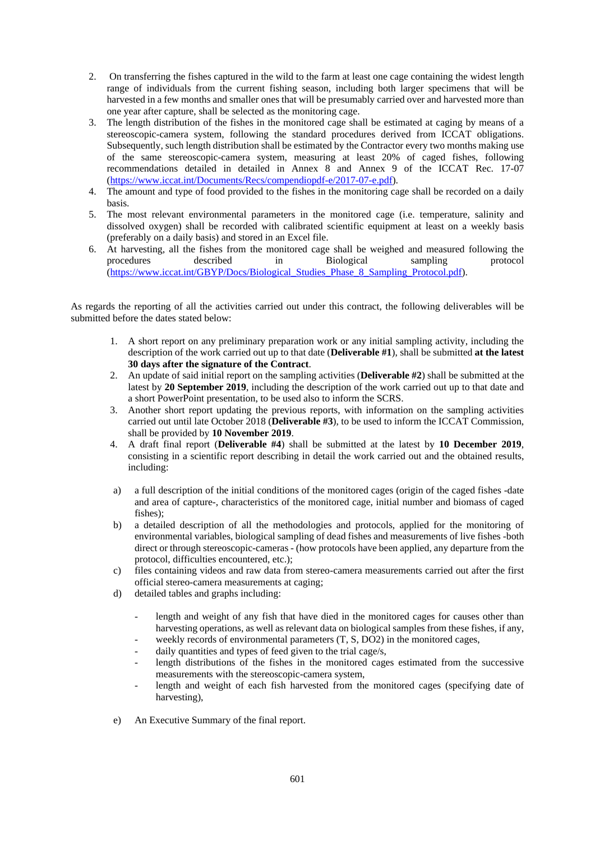- 2. On transferring the fishes captured in the wild to the farm at least one cage containing the widest length range of individuals from the current fishing season, including both larger specimens that will be harvested in a few months and smaller ones that will be presumably carried over and harvested more than one year after capture, shall be selected as the monitoring cage.
- 3. The length distribution of the fishes in the monitored cage shall be estimated at caging by means of a stereoscopic-camera system, following the standard procedures derived from ICCAT obligations. Subsequently, such length distribution shall be estimated by the Contractor every two months making use of the same stereoscopic-camera system, measuring at least 20% of caged fishes, following recommendations detailed in detailed in Annex 8 and Annex 9 of the ICCAT Rec. 17-07 [\(https://www.iccat.int/Documents/Recs/compendiopdf-e/2017-07-e.pdf\)](https://www.iccat.int/Documents/Recs/compendiopdf-e/2017-07-e.pdf).
- 4. The amount and type of food provided to the fishes in the monitoring cage shall be recorded on a daily basis.
- 5. The most relevant environmental parameters in the monitored cage (i.e. temperature, salinity and dissolved oxygen) shall be recorded with calibrated scientific equipment at least on a weekly basis (preferably on a daily basis) and stored in an Excel file.
- 6. At harvesting, all the fishes from the monitored cage shall be weighed and measured following the procedures described in Biological sampling protocol [\(https://www.iccat.int/GBYP/Docs/Biological\\_Studies\\_Phase\\_8\\_Sampling\\_Protocol.pdf\)](https://www.iccat.int/GBYP/Docs/Biological_Studies_Phase_8_Sampling_Protocol.pdf).

As regards the reporting of all the activities carried out under this contract, the following deliverables will be submitted before the dates stated below:

- 1. A short report on any preliminary preparation work or any initial sampling activity, including the description of the work carried out up to that date (**Deliverable #1**), shall be submitted **at the latest 30 days after the signature of the Contract**.
- 2. An update of said initial report on the sampling activities (**Deliverable #2**) shall be submitted at the latest by **20 September 2019**, including the description of the work carried out up to that date and a short PowerPoint presentation, to be used also to inform the SCRS.
- 3. Another short report updating the previous reports, with information on the sampling activities carried out until late October 2018 (**Deliverable #3**), to be used to inform the ICCAT Commission, shall be provided by **10 November 2019**.
- 4. A draft final report (**Deliverable #4**) shall be submitted at the latest by **10 December 2019**, consisting in a scientific report describing in detail the work carried out and the obtained results, including:
- a) a full description of the initial conditions of the monitored cages (origin of the caged fishes -date and area of capture-, characteristics of the monitored cage, initial number and biomass of caged fishes);
- b) a detailed description of all the methodologies and protocols, applied for the monitoring of environmental variables, biological sampling of dead fishes and measurements of live fishes -both direct or through stereoscopic-cameras - (how protocols have been applied, any departure from the protocol, difficulties encountered, etc.);
- c) files containing videos and raw data from stereo-camera measurements carried out after the first official stereo-camera measurements at caging;
- d) detailed tables and graphs including:
	- length and weight of any fish that have died in the monitored cages for causes other than harvesting operations, as well as relevant data on biological samples from these fishes, if any,
	- weekly records of environmental parameters  $(T, S, DO2)$  in the monitored cages,
	- daily quantities and types of feed given to the trial cage/s, length distributions of the fishes in the monitored cages estimated from the successive
	- measurements with the stereoscopic-camera system, length and weight of each fish harvested from the monitored cages (specifying date of
	- harvesting),
- e) An Executive Summary of the final report.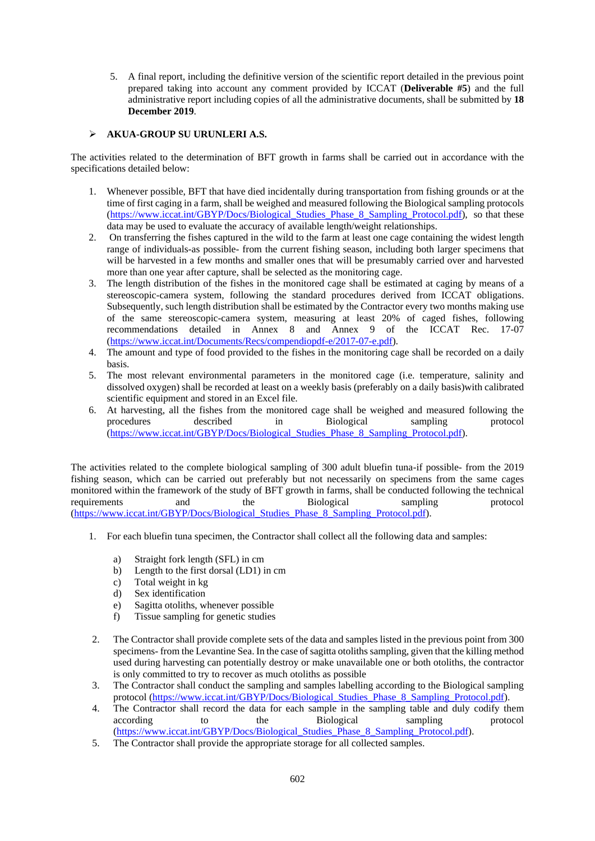5. A final report, including the definitive version of the scientific report detailed in the previous point prepared taking into account any comment provided by ICCAT (**Deliverable #5**) and the full administrative report including copies of all the administrative documents, shall be submitted by **18 December 2019**.

# ➢ **AKUA-GROUP SU URUNLERI A.S.**

The activities related to the determination of BFT growth in farms shall be carried out in accordance with the specifications detailed below:

- 1. Whenever possible, BFT that have died incidentally during transportation from fishing grounds or at the time of first caging in a farm, shall be weighed and measured following the Biological sampling protocols [\(https://www.iccat.int/GBYP/Docs/Biological\\_Studies\\_Phase\\_8\\_Sampling\\_Protocol.pdf\)](https://www.iccat.int/GBYP/Docs/Biological_Studies_Phase_8_Sampling_Protocol.pdf), so that these data may be used to evaluate the accuracy of available length/weight relationships.
- 2. On transferring the fishes captured in the wild to the farm at least one cage containing the widest length range of individuals-as possible- from the current fishing season, including both larger specimens that will be harvested in a few months and smaller ones that will be presumably carried over and harvested more than one year after capture, shall be selected as the monitoring cage.
- 3. The length distribution of the fishes in the monitored cage shall be estimated at caging by means of a stereoscopic-camera system, following the standard procedures derived from ICCAT obligations. Subsequently, such length distribution shall be estimated by the Contractor every two months making use of the same stereoscopic-camera system, measuring at least 20% of caged fishes, following recommendations detailed in Annex 8 and Annex 9 of the ICCAT Rec. 17-07 [\(https://www.iccat.int/Documents/Recs/compendiopdf-e/2017-07-e.pdf\)](https://www.iccat.int/Documents/Recs/compendiopdf-e/2017-07-e.pdf).
- 4. The amount and type of food provided to the fishes in the monitoring cage shall be recorded on a daily basis.
- 5. The most relevant environmental parameters in the monitored cage (i.e. temperature, salinity and dissolved oxygen) shall be recorded at least on a weekly basis (preferably on a daily basis)with calibrated scientific equipment and stored in an Excel file.
- 6. At harvesting, all the fishes from the monitored cage shall be weighed and measured following the procedures described in Biological sampling protocol [\(https://www.iccat.int/GBYP/Docs/Biological\\_Studies\\_Phase\\_8\\_Sampling\\_Protocol.pdf\)](https://www.iccat.int/GBYP/Docs/Biological_Studies_Phase_8_Sampling_Protocol.pdf).

The activities related to the complete biological sampling of 300 adult bluefin tuna-if possible- from the 2019 fishing season, which can be carried out preferably but not necessarily on specimens from the same cages monitored within the framework of the study of BFT growth in farms, shall be conducted following the technical requirements and the Biological sampling protocol [\(https://www.iccat.int/GBYP/Docs/Biological\\_Studies\\_Phase\\_8\\_Sampling\\_Protocol.pdf\)](https://www.iccat.int/GBYP/Docs/Biological_Studies_Phase_8_Sampling_Protocol.pdf).

- 1. For each bluefin tuna specimen, the Contractor shall collect all the following data and samples:
	- a) Straight fork length (SFL) in cm
	- b) Length to the first dorsal (LD1) in cm
	- c) Total weight in kg
	- d) Sex identification
	- e) Sagitta otoliths, whenever possible
	- f) Tissue sampling for genetic studies
- 2. The Contractor shall provide complete sets of the data and samples listed in the previous point from 300 specimens- from the Levantine Sea. In the case of sagitta otoliths sampling, given that the killing method used during harvesting can potentially destroy or make unavailable one or both otoliths, the contractor is only committed to try to recover as much otoliths as possible
- 3. The Contractor shall conduct the sampling and samples labelling according to the Biological sampling protocol [\(https://www.iccat.int/GBYP/Docs/Biological\\_Studies\\_Phase\\_8\\_Sampling\\_Protocol.pdf\)](https://www.iccat.int/GBYP/Docs/Biological_Studies_Phase_8_Sampling_Protocol.pdf).
- 4. The Contractor shall record the data for each sample in the sampling table and duly codify them according to the Biological sampling protocol [\(https://www.iccat.int/GBYP/Docs/Biological\\_Studies\\_Phase\\_8\\_Sampling\\_Protocol.pdf\)](https://www.iccat.int/GBYP/Docs/Biological_Studies_Phase_8_Sampling_Protocol.pdf).
- 5. The Contractor shall provide the appropriate storage for all collected samples.